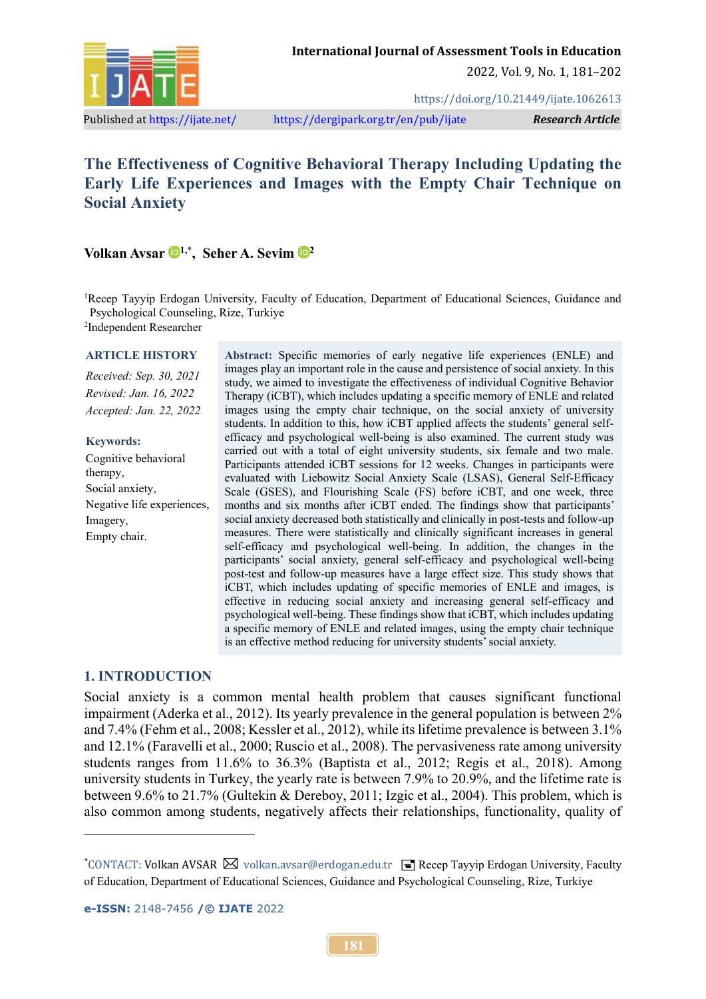

2022, Vol. 9, No. 1, 181–202

<https://doi.org/10.21449/ijate.1062613>

Published a[t https://ijate.net/](https://ijate.net/) <https://dergipark.org.tr/en/pub/ijate>*Research Article*

# **The Effectiveness of Cognitive Behavioral Therapy Including Updating the Early Life Experiences and Images with the Empty Chair Technique on Social Anxiety**

**Volkan Avsar 1,**\* **, Seher A. Sevim <sup>2</sup>**

<sup>1</sup>Recep Tayyip Erdogan University, Faculty of Education, Department of Educational Sciences, Guidance and Psychological Counseling, Rize, Turkiye

2 Independent Researcher

#### **ARTICLE HISTORY**

*Received: Sep. 30, 2021 Revised: Jan. 16, 2022 Accepted: Jan. 22, 2022*

#### **Keywords:**

Cognitive behavioral therapy, Social anxiety, Negative life experiences, Imagery, Empty chair.

**Abstract:** Specific memories of early negative life experiences (ENLE) and images play an important role in the cause and persistence of social anxiety. In this study, we aimed to investigate the effectiveness of individual Cognitive Behavior Therapy (iCBT), which includes updating a specific memory of ENLE and related images using the empty chair technique, on the social anxiety of university students. In addition to this, how iCBT applied affects the students' general selfefficacy and psychological well-being is also examined. The current study was carried out with a total of eight university students, six female and two male. Participants attended iCBT sessions for 12 weeks. Changes in participants were evaluated with Liebowitz Social Anxiety Scale (LSAS), General Self-Efficacy Scale (GSES), and Flourishing Scale (FS) before iCBT, and one week, three months and six months after iCBT ended. The findings show that participants' social anxiety decreased both statistically and clinically in post-tests and follow-up measures. There were statistically and clinically significant increases in general self-efficacy and psychological well-being. In addition, the changes in the participants' social anxiety, general self-efficacy and psychological well-being post-test and follow-up measures have a large effect size. This study shows that iCBT, which includes updating of specific memories of ENLE and images, is effective in reducing social anxiety and increasing general self-efficacy and psychological well-being. These findings show that iCBT, which includes updating a specific memory of ENLE and related images, using the empty chair technique is an effective method reducing for university students' social anxiety.

#### **1. INTRODUCTION**

Social anxiety is a common mental health problem that causes significant functional impairment (Aderka et al., 2012). Its yearly prevalence in the general population is between 2% and 7.4% (Fehm et al., 2008; Kessler et al., 2012), while its lifetime prevalence is between 3.1% and 12.1% (Faravelli et al., 2000; Ruscio et al., 2008). The pervasiveness rate among university students ranges from 11.6% to 36.3% (Baptista et al., 2012; Regis et al., 2018). Among university students in Turkey, the yearly rate is between 7.9% to 20.9%, and the lifetime rate is between 9.6% to 21.7% (Gultekin & Dereboy, 2011; Izgic et al., 2004). This problem, which is also common among students, negatively affects their relationships, functionality, quality of

<sup>\*</sup>CONTACT: Volkan AVSAR  $\boxtimes$  volkan.avsar@erdogan.edu.tr  $\equiv$  Recep Tayyip Erdogan University, Faculty of Education, Department of Educational Sciences, Guidance and Psychological Counseling, Rize, Turkiye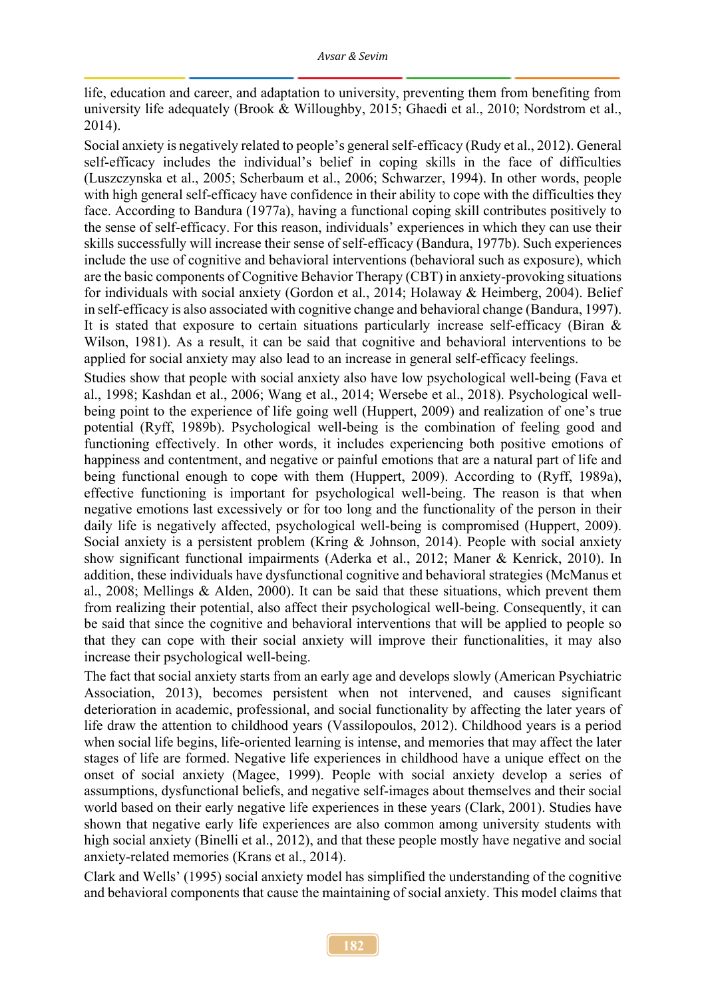life, education and career, and adaptation to university, preventing them from benefiting from university life adequately (Brook & Willoughby, 2015; Ghaedi et al., 2010; Nordstrom et al., 2014).

Social anxiety is negatively related to people's general self-efficacy (Rudy et al., 2012). General self-efficacy includes the individual's belief in coping skills in the face of difficulties (Luszczynska et al., 2005; Scherbaum et al., 2006; Schwarzer, 1994). In other words, people with high general self-efficacy have confidence in their ability to cope with the difficulties they face. According to Bandura (1977a), having a functional coping skill contributes positively to the sense of self-efficacy. For this reason, individuals' experiences in which they can use their skills successfully will increase their sense of self-efficacy (Bandura, 1977b). Such experiences include the use of cognitive and behavioral interventions (behavioral such as exposure), which are the basic components of Cognitive Behavior Therapy (CBT) in anxiety-provoking situations for individuals with social anxiety (Gordon et al., 2014; Holaway & Heimberg, 2004). Belief in self-efficacy is also associated with cognitive change and behavioral change (Bandura, 1997). It is stated that exposure to certain situations particularly increase self-efficacy (Biran & Wilson, 1981). As a result, it can be said that cognitive and behavioral interventions to be applied for social anxiety may also lead to an increase in general self-efficacy feelings.

Studies show that people with social anxiety also have low psychological well-being (Fava et al., 1998; Kashdan et al., 2006; Wang et al., 2014; Wersebe et al., 2018). Psychological wellbeing point to the experience of life going well (Huppert, 2009) and realization of one's true potential (Ryff, 1989b). Psychological well-being is the combination of feeling good and functioning effectively. In other words, it includes experiencing both positive emotions of happiness and contentment, and negative or painful emotions that are a natural part of life and being functional enough to cope with them (Huppert, 2009). According to (Ryff, 1989a), effective functioning is important for psychological well-being. The reason is that when negative emotions last excessively or for too long and the functionality of the person in their daily life is negatively affected, psychological well-being is compromised (Huppert, 2009). Social anxiety is a persistent problem (Kring & Johnson, 2014). People with social anxiety show significant functional impairments (Aderka et al., 2012; Maner & Kenrick, 2010). In addition, these individuals have dysfunctional cognitive and behavioral strategies (McManus et al., 2008; Mellings & Alden, 2000). It can be said that these situations, which prevent them from realizing their potential, also affect their psychological well-being. Consequently, it can be said that since the cognitive and behavioral interventions that will be applied to people so that they can cope with their social anxiety will improve their functionalities, it may also increase their psychological well-being.

The fact that social anxiety starts from an early age and develops slowly (American Psychiatric Association, 2013), becomes persistent when not intervened, and causes significant deterioration in academic, professional, and social functionality by affecting the later years of life draw the attention to childhood years (Vassilopoulos, 2012). Childhood years is a period when social life begins, life-oriented learning is intense, and memories that may affect the later stages of life are formed. Negative life experiences in childhood have a unique effect on the onset of social anxiety (Magee, 1999). People with social anxiety develop a series of assumptions, dysfunctional beliefs, and negative self-images about themselves and their social world based on their early negative life experiences in these years (Clark, 2001). Studies have shown that negative early life experiences are also common among university students with high social anxiety (Binelli et al., 2012), and that these people mostly have negative and social anxiety-related memories (Krans et al., 2014).

Clark and Wells' (1995) social anxiety model has simplified the understanding of the cognitive and behavioral components that cause the maintaining of social anxiety. This model claims that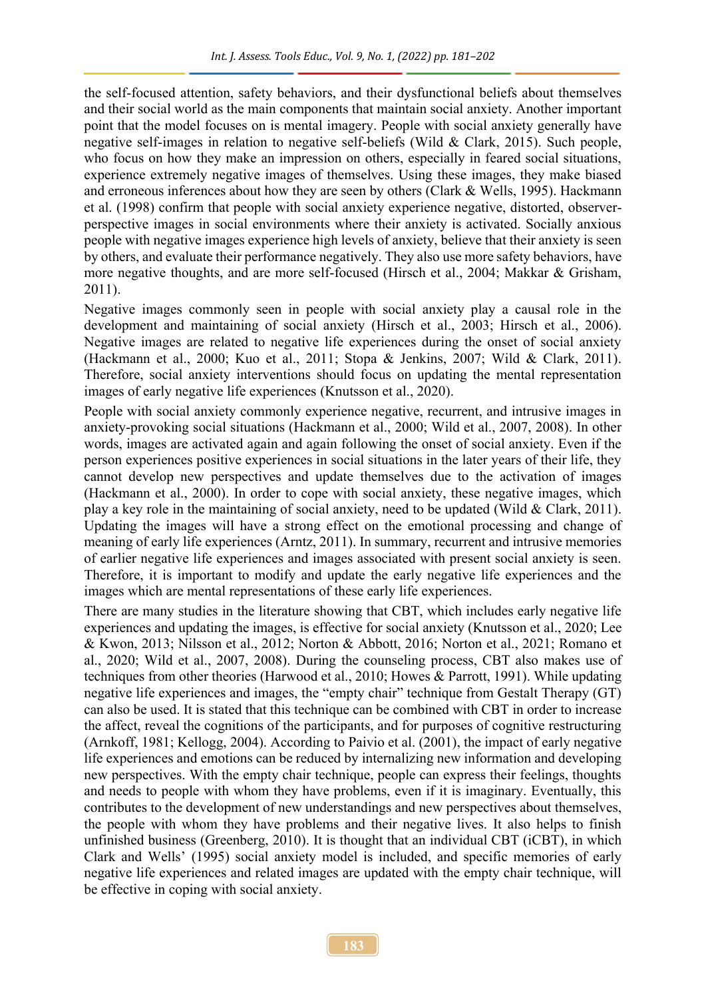the self-focused attention, safety behaviors, and their dysfunctional beliefs about themselves and their social world as the main components that maintain social anxiety. Another important point that the model focuses on is mental imagery. People with social anxiety generally have negative self-images in relation to negative self-beliefs (Wild & Clark, 2015). Such people, who focus on how they make an impression on others, especially in feared social situations, experience extremely negative images of themselves. Using these images, they make biased and erroneous inferences about how they are seen by others (Clark & Wells, 1995). Hackmann et al. (1998) confirm that people with social anxiety experience negative, distorted, observerperspective images in social environments where their anxiety is activated. Socially anxious people with negative images experience high levels of anxiety, believe that their anxiety is seen by others, and evaluate their performance negatively. They also use more safety behaviors, have more negative thoughts, and are more self-focused (Hirsch et al., 2004; Makkar & Grisham, 2011).

Negative images commonly seen in people with social anxiety play a causal role in the development and maintaining of social anxiety (Hirsch et al., 2003; Hirsch et al., 2006). Negative images are related to negative life experiences during the onset of social anxiety (Hackmann et al., 2000; Kuo et al., 2011; Stopa & Jenkins, 2007; Wild & Clark, 2011). Therefore, social anxiety interventions should focus on updating the mental representation images of early negative life experiences (Knutsson et al., 2020).

People with social anxiety commonly experience negative, recurrent, and intrusive images in anxiety-provoking social situations (Hackmann et al., 2000; Wild et al., 2007, 2008). In other words, images are activated again and again following the onset of social anxiety. Even if the person experiences positive experiences in social situations in the later years of their life, they cannot develop new perspectives and update themselves due to the activation of images (Hackmann et al., 2000). In order to cope with social anxiety, these negative images, which play a key role in the maintaining of social anxiety, need to be updated (Wild & Clark, 2011). Updating the images will have a strong effect on the emotional processing and change of meaning of early life experiences (Arntz, 2011). In summary, recurrent and intrusive memories of earlier negative life experiences and images associated with present social anxiety is seen. Therefore, it is important to modify and update the early negative life experiences and the images which are mental representations of these early life experiences.

There are many studies in the literature showing that CBT, which includes early negative life experiences and updating the images, is effective for social anxiety (Knutsson et al., 2020; Lee & Kwon, 2013; Nilsson et al., 2012; Norton & Abbott, 2016; Norton et al., 2021; Romano et al., 2020; Wild et al., 2007, 2008). During the counseling process, CBT also makes use of techniques from other theories (Harwood et al., 2010; Howes & Parrott, 1991). While updating negative life experiences and images, the "empty chair" technique from Gestalt Therapy (GT) can also be used. It is stated that this technique can be combined with CBT in order to increase the affect, reveal the cognitions of the participants, and for purposes of cognitive restructuring (Arnkoff, 1981; Kellogg, 2004). According to Paivio et al. (2001), the impact of early negative life experiences and emotions can be reduced by internalizing new information and developing new perspectives. With the empty chair technique, people can express their feelings, thoughts and needs to people with whom they have problems, even if it is imaginary. Eventually, this contributes to the development of new understandings and new perspectives about themselves, the people with whom they have problems and their negative lives. It also helps to finish unfinished business (Greenberg, 2010). It is thought that an individual CBT (iCBT), in which Clark and Wells' (1995) social anxiety model is included, and specific memories of early negative life experiences and related images are updated with the empty chair technique, will be effective in coping with social anxiety.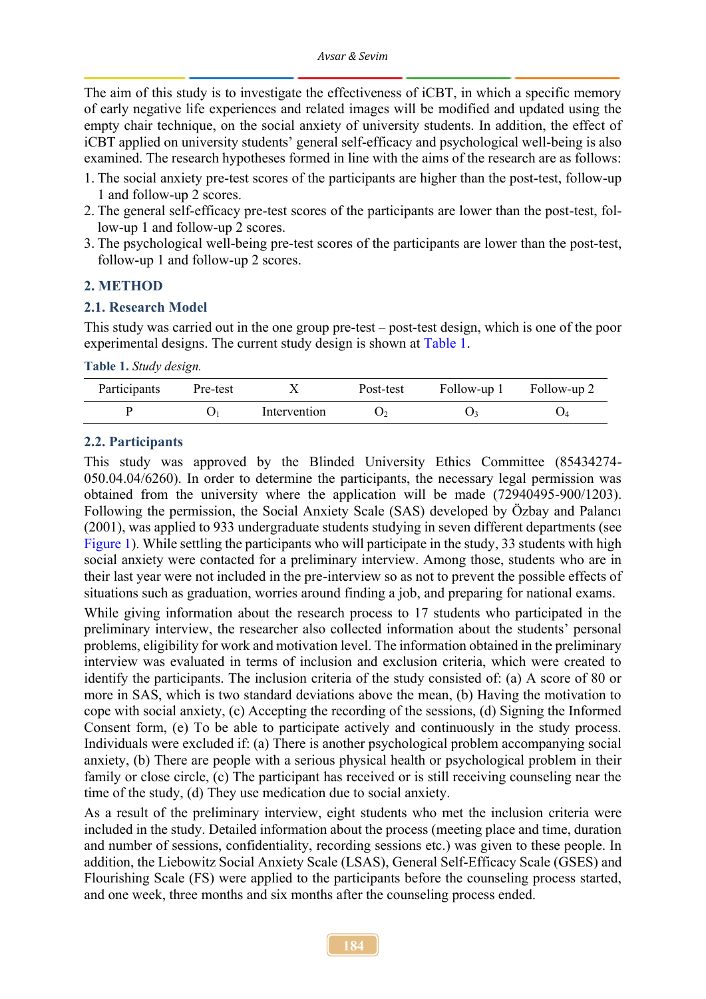The aim of this study is to investigate the effectiveness of iCBT, in which a specific memory of early negative life experiences and related images will be modified and updated using the empty chair technique, on the social anxiety of university students. In addition, the effect of iCBT applied on university students' general self-efficacy and psychological well-being is also examined. The research hypotheses formed in line with the aims of the research are as follows:

- 1. The social anxiety pre-test scores of the participants are higher than the post-test, follow-up 1 and follow-up 2 scores.
- 2. The general self-efficacy pre-test scores of the participants are lower than the post-test, follow-up 1 and follow-up 2 scores.
- 3. The psychological well-being pre-test scores of the participants are lower than the post-test, follow-up 1 and follow-up 2 scores.

### **2. METHOD**

#### **2.1. Research Model**

This study was carried out in the one group pre-test – post-test design, which is one of the poor experimental designs. The current study design is shown at [Table 1.](#page-3-0)

<span id="page-3-0"></span>**Table 1.** *Study design.*

| Participants | Pre-test |              | Post-test | Follow-up 1 Follow-up 2 |  |
|--------------|----------|--------------|-----------|-------------------------|--|
|              |          | Intervention |           |                         |  |

#### **2.2. Participants**

This study was approved by the Blinded University Ethics Committee (85434274- 050.04.04/6260). In order to determine the participants, the necessary legal permission was obtained from the university where the application will be made (72940495-900/1203). Following the permission, the Social Anxiety Scale (SAS) developed by Özbay and Palancı (2001), was applied to 933 undergraduate students studying in seven different departments (see [Figure 1\)](#page-4-0). While settling the participants who will participate in the study, 33 students with high social anxiety were contacted for a preliminary interview. Among those, students who are in their last year were not included in the pre-interview so as not to prevent the possible effects of situations such as graduation, worries around finding a job, and preparing for national exams.

While giving information about the research process to 17 students who participated in the preliminary interview, the researcher also collected information about the students' personal problems, eligibility for work and motivation level. The information obtained in the preliminary interview was evaluated in terms of inclusion and exclusion criteria, which were created to identify the participants. The inclusion criteria of the study consisted of: (a) A score of 80 or more in SAS, which is two standard deviations above the mean, (b) Having the motivation to cope with social anxiety, (c) Accepting the recording of the sessions, (d) Signing the Informed Consent form, (e) To be able to participate actively and continuously in the study process. Individuals were excluded if: (a) There is another psychological problem accompanying social anxiety, (b) There are people with a serious physical health or psychological problem in their family or close circle, (c) The participant has received or is still receiving counseling near the time of the study, (d) They use medication due to social anxiety.

As a result of the preliminary interview, eight students who met the inclusion criteria were included in the study. Detailed information about the process (meeting place and time, duration and number of sessions, confidentiality, recording sessions etc.) was given to these people. In addition, the Liebowitz Social Anxiety Scale (LSAS), General Self-Efficacy Scale (GSES) and Flourishing Scale (FS) were applied to the participants before the counseling process started, and one week, three months and six months after the counseling process ended.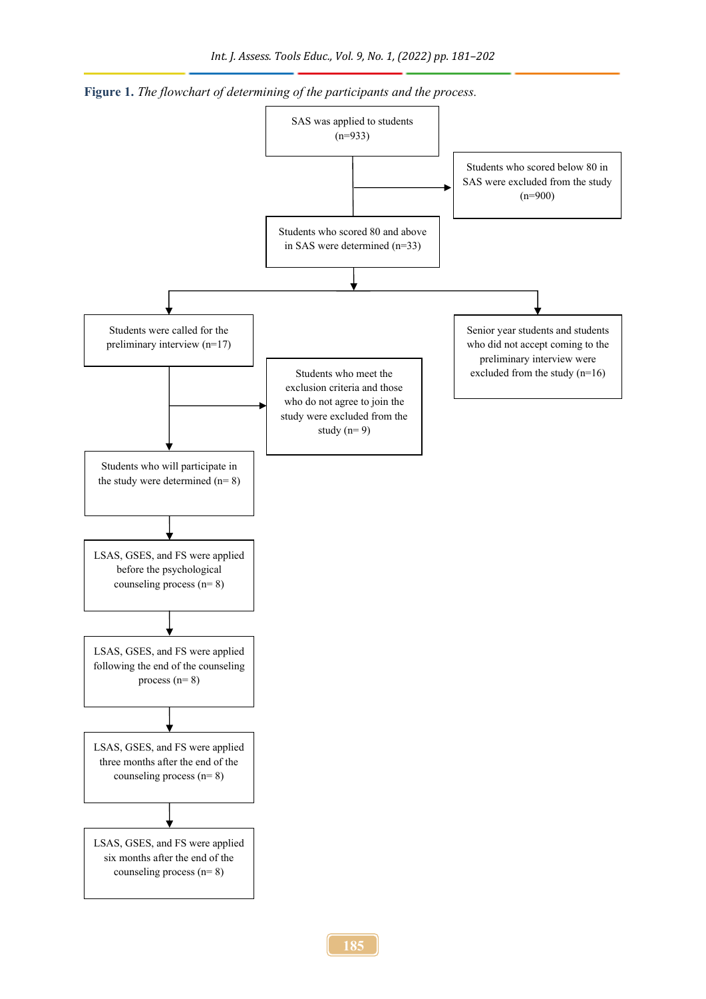

<span id="page-4-0"></span>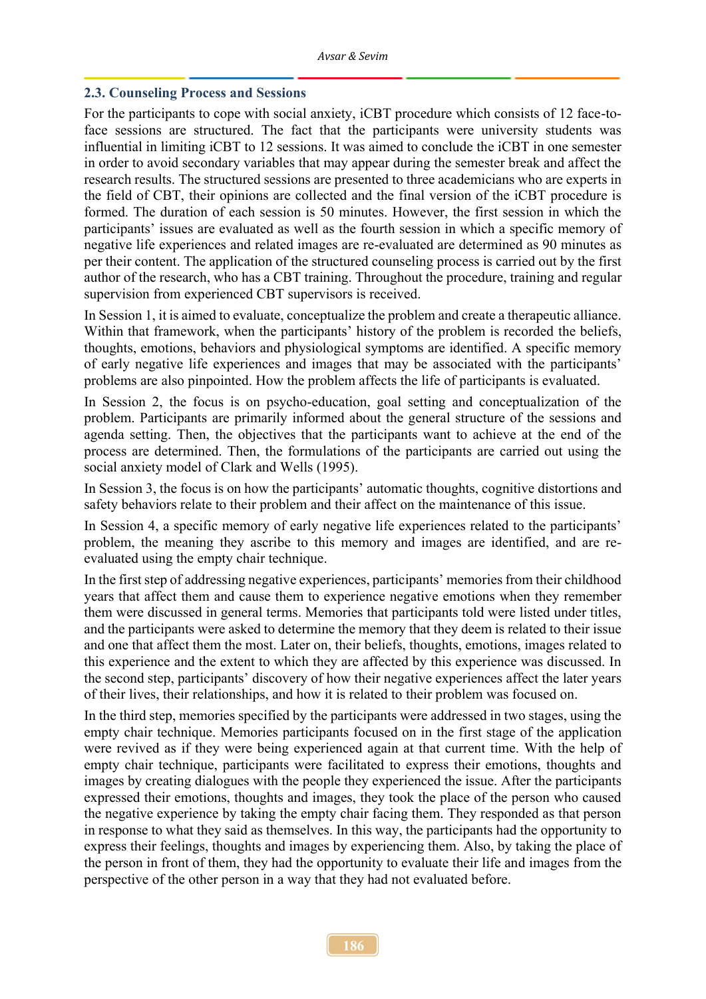#### **2.3. Counseling Process and Sessions**

For the participants to cope with social anxiety, iCBT procedure which consists of 12 face-toface sessions are structured. The fact that the participants were university students was influential in limiting iCBT to 12 sessions. It was aimed to conclude the iCBT in one semester in order to avoid secondary variables that may appear during the semester break and affect the research results. The structured sessions are presented to three academicians who are experts in the field of CBT, their opinions are collected and the final version of the iCBT procedure is formed. The duration of each session is 50 minutes. However, the first session in which the participants' issues are evaluated as well as the fourth session in which a specific memory of negative life experiences and related images are re-evaluated are determined as 90 minutes as per their content. The application of the structured counseling process is carried out by the first author of the research, who has a CBT training. Throughout the procedure, training and regular supervision from experienced CBT supervisors is received.

In Session 1, it is aimed to evaluate, conceptualize the problem and create a therapeutic alliance. Within that framework, when the participants' history of the problem is recorded the beliefs, thoughts, emotions, behaviors and physiological symptoms are identified. A specific memory of early negative life experiences and images that may be associated with the participants' problems are also pinpointed. How the problem affects the life of participants is evaluated.

In Session 2, the focus is on psycho-education, goal setting and conceptualization of the problem. Participants are primarily informed about the general structure of the sessions and agenda setting. Then, the objectives that the participants want to achieve at the end of the process are determined. Then, the formulations of the participants are carried out using the social anxiety model of Clark and Wells (1995).

In Session 3, the focus is on how the participants' automatic thoughts, cognitive distortions and safety behaviors relate to their problem and their affect on the maintenance of this issue.

In Session 4, a specific memory of early negative life experiences related to the participants' problem, the meaning they ascribe to this memory and images are identified, and are reevaluated using the empty chair technique.

In the first step of addressing negative experiences, participants' memories from their childhood years that affect them and cause them to experience negative emotions when they remember them were discussed in general terms. Memories that participants told were listed under titles, and the participants were asked to determine the memory that they deem is related to their issue and one that affect them the most. Later on, their beliefs, thoughts, emotions, images related to this experience and the extent to which they are affected by this experience was discussed. In the second step, participants' discovery of how their negative experiences affect the later years of their lives, their relationships, and how it is related to their problem was focused on.

In the third step, memories specified by the participants were addressed in two stages, using the empty chair technique. Memories participants focused on in the first stage of the application were revived as if they were being experienced again at that current time. With the help of empty chair technique, participants were facilitated to express their emotions, thoughts and images by creating dialogues with the people they experienced the issue. After the participants expressed their emotions, thoughts and images, they took the place of the person who caused the negative experience by taking the empty chair facing them. They responded as that person in response to what they said as themselves. In this way, the participants had the opportunity to express their feelings, thoughts and images by experiencing them. Also, by taking the place of the person in front of them, they had the opportunity to evaluate their life and images from the perspective of the other person in a way that they had not evaluated before.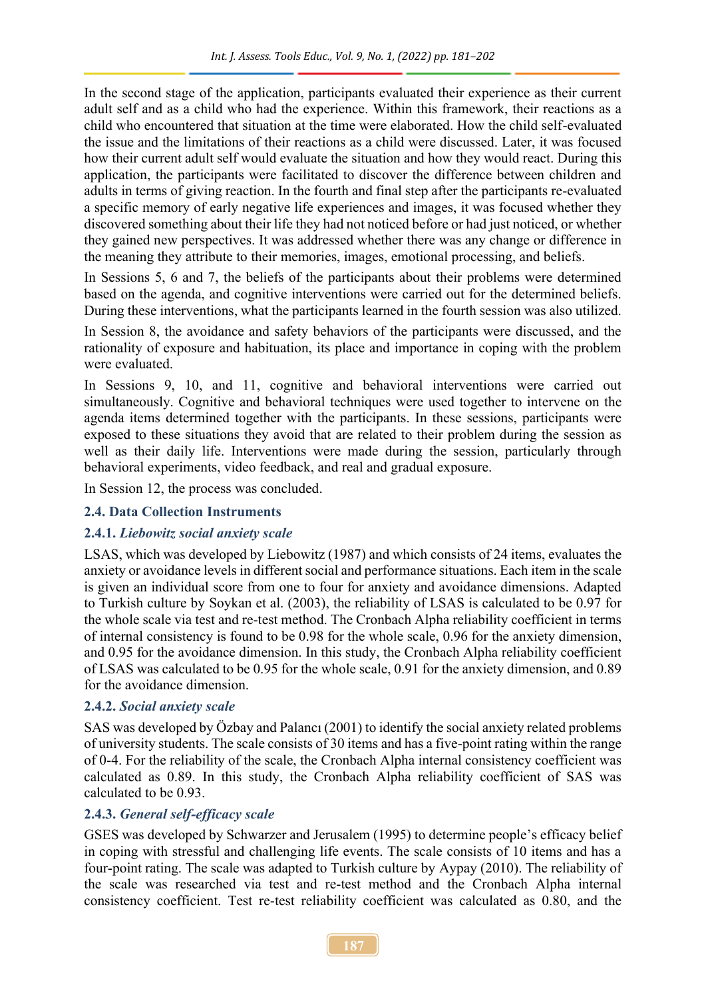In the second stage of the application, participants evaluated their experience as their current adult self and as a child who had the experience. Within this framework, their reactions as a child who encountered that situation at the time were elaborated. How the child self-evaluated the issue and the limitations of their reactions as a child were discussed. Later, it was focused how their current adult self would evaluate the situation and how they would react. During this application, the participants were facilitated to discover the difference between children and adults in terms of giving reaction. In the fourth and final step after the participants re-evaluated a specific memory of early negative life experiences and images, it was focused whether they discovered something about their life they had not noticed before or had just noticed, or whether they gained new perspectives. It was addressed whether there was any change or difference in the meaning they attribute to their memories, images, emotional processing, and beliefs.

In Sessions 5, 6 and 7, the beliefs of the participants about their problems were determined based on the agenda, and cognitive interventions were carried out for the determined beliefs. During these interventions, what the participants learned in the fourth session was also utilized.

In Session 8, the avoidance and safety behaviors of the participants were discussed, and the rationality of exposure and habituation, its place and importance in coping with the problem were evaluated.

In Sessions 9, 10, and 11, cognitive and behavioral interventions were carried out simultaneously. Cognitive and behavioral techniques were used together to intervene on the agenda items determined together with the participants. In these sessions, participants were exposed to these situations they avoid that are related to their problem during the session as well as their daily life. Interventions were made during the session, particularly through behavioral experiments, video feedback, and real and gradual exposure.

In Session 12, the process was concluded.

# **2.4. Data Collection Instruments**

# **2.4.1.** *Liebowitz social anxiety scale*

LSAS, which was developed by Liebowitz (1987) and which consists of 24 items, evaluates the anxiety or avoidance levels in different social and performance situations. Each item in the scale is given an individual score from one to four for anxiety and avoidance dimensions. Adapted to Turkish culture by Soykan et al. (2003), the reliability of LSAS is calculated to be 0.97 for the whole scale via test and re-test method. The Cronbach Alpha reliability coefficient in terms of internal consistency is found to be 0.98 for the whole scale, 0.96 for the anxiety dimension, and 0.95 for the avoidance dimension. In this study, the Cronbach Alpha reliability coefficient of LSAS was calculated to be 0.95 for the whole scale, 0.91 for the anxiety dimension, and 0.89 for the avoidance dimension.

### **2.4.2.** *Social anxiety scale*

SAS was developed by Özbay and Palancı (2001) to identify the social anxiety related problems of university students. The scale consists of 30 items and has a five-point rating within the range of 0-4. For the reliability of the scale, the Cronbach Alpha internal consistency coefficient was calculated as 0.89. In this study, the Cronbach Alpha reliability coefficient of SAS was calculated to be 0.93.

### **2.4.3.** *General self-efficacy scale*

GSES was developed by Schwarzer and Jerusalem (1995) to determine people's efficacy belief in coping with stressful and challenging life events. The scale consists of 10 items and has a four-point rating. The scale was adapted to Turkish culture by Aypay (2010). The reliability of the scale was researched via test and re-test method and the Cronbach Alpha internal consistency coefficient. Test re-test reliability coefficient was calculated as 0.80, and the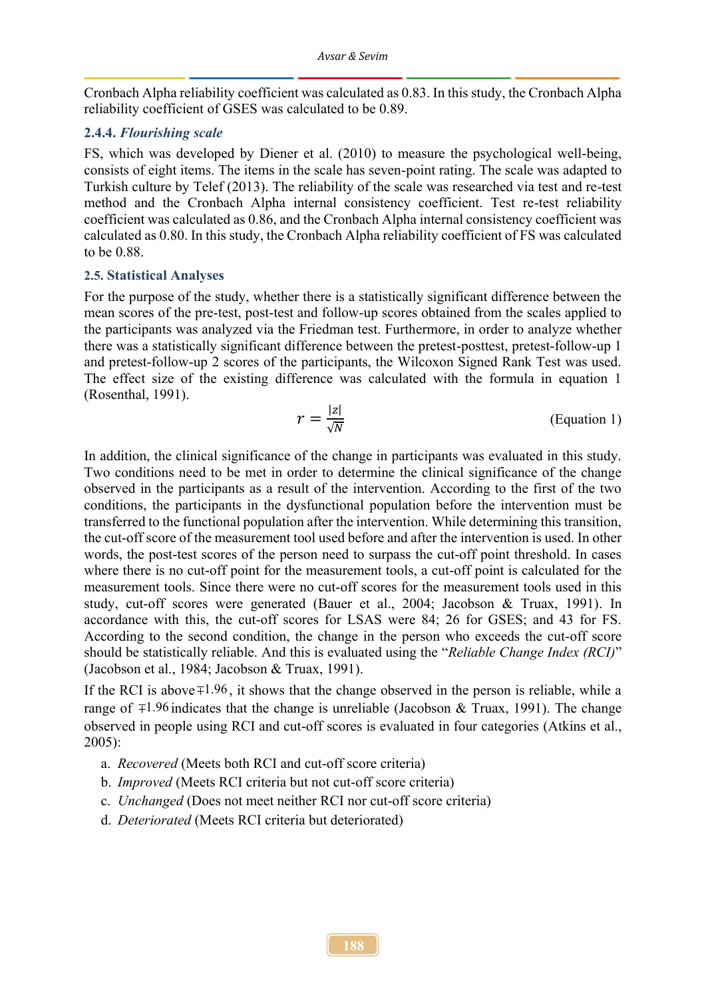Cronbach Alpha reliability coefficient was calculated as 0.83. In this study, the Cronbach Alpha reliability coefficient of GSES was calculated to be 0.89.

#### **2.4.4.** *Flourishing scale*

FS, which was developed by Diener et al. (2010) to measure the psychological well-being, consists of eight items. The items in the scale has seven-point rating. The scale was adapted to Turkish culture by Telef (2013). The reliability of the scale was researched via test and re-test method and the Cronbach Alpha internal consistency coefficient. Test re-test reliability coefficient was calculated as 0.86, and the Cronbach Alpha internal consistency coefficient was calculated as 0.80. In this study, the Cronbach Alpha reliability coefficient of FS was calculated to be 0.88.

#### **2.5. Statistical Analyses**

For the purpose of the study, whether there is a statistically significant difference between the mean scores of the pre-test, post-test and follow-up scores obtained from the scales applied to the participants was analyzed via the Friedman test. Furthermore, in order to analyze whether there was a statistically significant difference between the pretest-posttest, pretest-follow-up 1 and pretest-follow-up 2 scores of the participants, the Wilcoxon Signed Rank Test was used. The effect size of the existing difference was calculated with the formula in equation 1 (Rosenthal, 1991).

$$
r = \frac{|z|}{\sqrt{N}}
$$
 (Equation 1)

In addition, the clinical significance of the change in participants was evaluated in this study. Two conditions need to be met in order to determine the clinical significance of the change observed in the participants as a result of the intervention. According to the first of the two conditions, the participants in the dysfunctional population before the intervention must be transferred to the functional population after the intervention. While determining this transition, the cut-off score of the measurement tool used before and after the intervention is used. In other words, the post-test scores of the person need to surpass the cut-off point threshold. In cases where there is no cut-off point for the measurement tools, a cut-off point is calculated for the measurement tools. Since there were no cut-off scores for the measurement tools used in this study, cut-off scores were generated (Bauer et al., 2004; Jacobson & Truax, 1991). In accordance with this, the cut-off scores for LSAS were 84; 26 for GSES; and 43 for FS. According to the second condition, the change in the person who exceeds the cut-off score should be statistically reliable. And this is evaluated using the "*Reliable Change Index (RCI)*" (Jacobson et al., 1984; Jacobson & Truax, 1991).

If the RCI is above  $\mp 1.96$ , it shows that the change observed in the person is reliable, while a range of  $\mp 1.96$  indicates that the change is unreliable (Jacobson & Truax, 1991). The change observed in people using RCI and cut-off scores is evaluated in four categories (Atkins et al., 2005):

- a. *Recovered* (Meets both RCI and cut-off score criteria)
- b. *Improved* (Meets RCI criteria but not cut-off score criteria)
- c. *Unchanged* (Does not meet neither RCI nor cut-off score criteria)
- d. *Deteriorated* (Meets RCI criteria but deteriorated)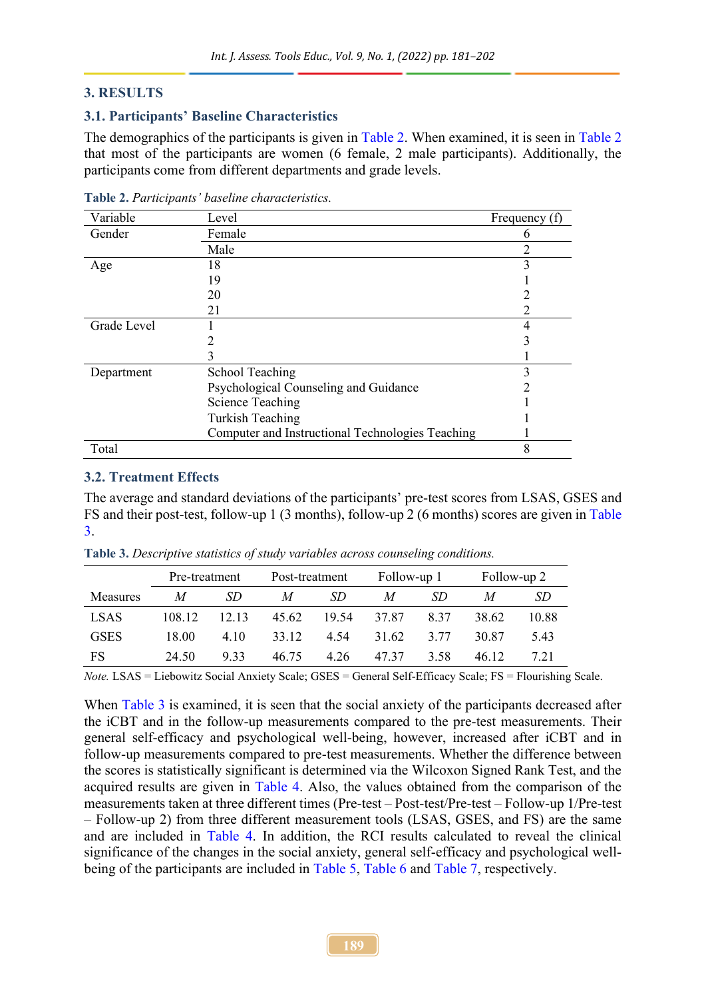#### **3. RESULTS**

#### **3.1. Participants' Baseline Characteristics**

The demographics of the participants is given in [Table 2.](#page-8-0) When examined, it is seen in [Table 2](#page-8-0) that most of the participants are women (6 female, 2 male participants). Additionally, the participants come from different departments and grade levels.

| Variable    | Level                                            | Frequency (f) |
|-------------|--------------------------------------------------|---------------|
| Gender      | Female                                           |               |
|             | Male                                             | າ             |
| Age         | 18                                               | 3             |
|             | 19                                               |               |
|             | 20                                               |               |
|             | 21                                               |               |
| Grade Level |                                                  |               |
|             |                                                  |               |
|             |                                                  |               |
| Department  | <b>School Teaching</b>                           | 3             |
|             | Psychological Counseling and Guidance            |               |
|             | <b>Science Teaching</b>                          |               |
|             | Turkish Teaching                                 |               |
|             | Computer and Instructional Technologies Teaching |               |
| Total       |                                                  | 8             |

<span id="page-8-0"></span>**Table 2.** *Participants' baseline characteristics.*

#### **3.2. Treatment Effects**

The average and standard deviations of the participants' pre-test scores from LSAS, GSES and FS and their post-test, follow-up 1 (3 months), follow-up 2 (6 months) scores are given in [Table](#page-8-1)  [3.](#page-8-1)

|                 | Pre-treatment |       | Post-treatment   |             | Follow-up 1 |      | Follow-up 2 |       |  |
|-----------------|---------------|-------|------------------|-------------|-------------|------|-------------|-------|--|
| <b>Measures</b> | M             | SD.   | $\boldsymbol{M}$ | SD.         | M           | SD.  | M           | SD    |  |
| <b>LSAS</b>     | 108.12        | 12.13 | 45.62            | 19.54 37.87 |             | 8.37 | 38.62       | 10.88 |  |
| <b>GSES</b>     | 18.00         | 4.10  | 33.12            | 4.54        | 31.62       | 3.77 | 30.87       | 5.43  |  |
| <b>FS</b>       | 24.50         | 9.33  | 46.75            | 4.26        | 47.37       | 3.58 | 46.12       | 7.21  |  |

<span id="page-8-1"></span>**Table 3.** *Descriptive statistics of study variables across counseling conditions.*

*Note.* LSAS = Liebowitz Social Anxiety Scale; GSES = General Self-Efficacy Scale; FS = Flourishing Scale.

When [Table 3](#page-8-1) is examined, it is seen that the social anxiety of the participants decreased after the iCBT and in the follow-up measurements compared to the pre-test measurements. Their general self-efficacy and psychological well-being, however, increased after iCBT and in follow-up measurements compared to pre-test measurements. Whether the difference between the scores is statistically significant is determined via the Wilcoxon Signed Rank Test, and the acquired results are given in [Table 4.](#page-9-0) Also, the values obtained from the comparison of the measurements taken at three different times (Pre-test – Post-test/Pre-test – Follow-up 1/Pre-test – Follow-up 2) from three different measurement tools (LSAS, GSES, and FS) are the same and are included in [Table 4.](#page-9-0) In addition, the RCI results calculated to reveal the clinical significance of the changes in the social anxiety, general self-efficacy and psychological wellbeing of the participants are included in [Table 5,](#page-9-1) [Table 6](#page-10-0) and [Table 7,](#page-11-0) respectively.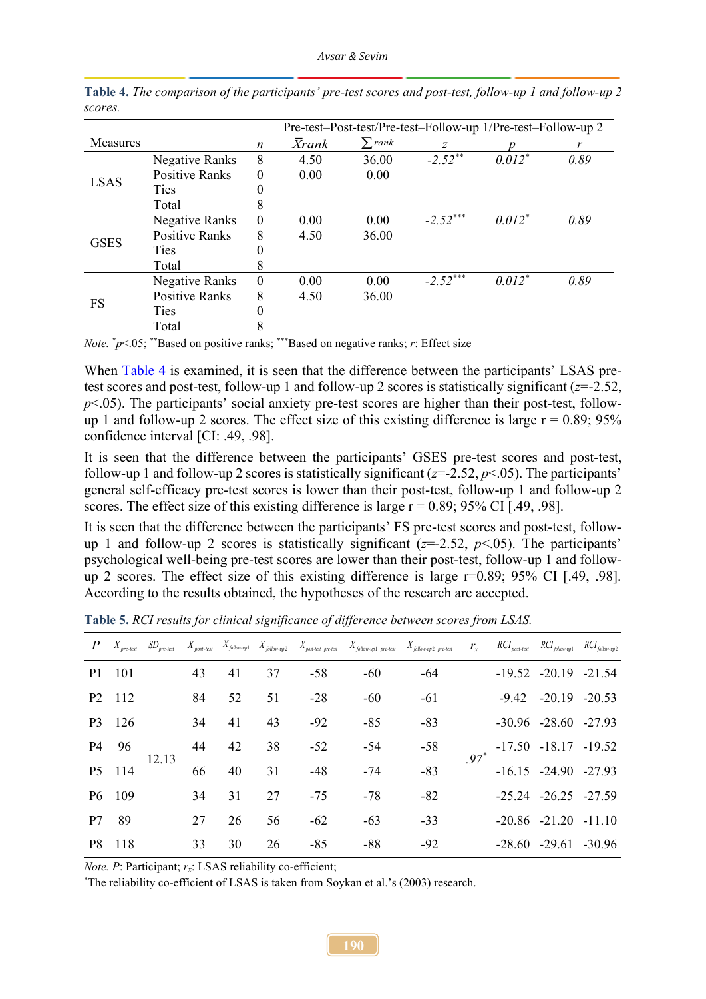|                 |                       |          |              |                   | Pre-test-Post-test/Pre-test-Follow-up 1/Pre-test-Follow-up 2 |          |      |
|-----------------|-----------------------|----------|--------------|-------------------|--------------------------------------------------------------|----------|------|
| <b>Measures</b> |                       | n        | <b>Xrank</b> | rank <sup>*</sup> | Ζ                                                            |          | r    |
| <b>LSAS</b>     | Negative Ranks        | 8        | 4.50         | 36.00             | $-2.52$ **                                                   | $0.012*$ | 0.89 |
|                 | <b>Positive Ranks</b> | $\theta$ | 0.00         | 0.00              |                                                              |          |      |
|                 | Ties                  |          |              |                   |                                                              |          |      |
|                 | Total                 | 8        |              |                   |                                                              |          |      |
|                 | Negative Ranks        | $\theta$ | 0.00         | 0.00              | $-2.52***$                                                   | $0.012*$ | 0.89 |
| <b>GSES</b>     | <b>Positive Ranks</b> | 8        | 4.50         | 36.00             |                                                              |          |      |
|                 | <b>Ties</b>           | 0        |              |                   |                                                              |          |      |
|                 | Total                 | 8        |              |                   |                                                              |          |      |
|                 | Negative Ranks        | $\Omega$ | 0.00         | 0.00              | $-2.52$ <sup>***</sup>                                       | $0.012*$ | 0.89 |
|                 | <b>Positive Ranks</b> | 8        | 4.50         | 36.00             |                                                              |          |      |
| FS              | Ties                  | 0        |              |                   |                                                              |          |      |
|                 | Total                 | 8        |              |                   |                                                              |          |      |

<span id="page-9-0"></span>**Table 4.** *The comparison of the participants' pre-test scores and post-test, follow-up 1 and follow-up 2 scores.*

*Note.* \**p*<.05; \*\*Based on positive ranks; \*\*\*Based on negative ranks; *r*: Effect size

When [Table 4](#page-9-0) is examined, it is seen that the difference between the participants' LSAS pretest scores and post-test, follow-up 1 and follow-up 2 scores is statistically significant (*z*=-2.52,  $p<.05$ ). The participants' social anxiety pre-test scores are higher than their post-test, followup 1 and follow-up 2 scores. The effect size of this existing difference is large  $r = 0.89$ ; 95% confidence interval [CI: .49, .98].

It is seen that the difference between the participants' GSES pre-test scores and post-test, follow-up 1 and follow-up 2 scores is statistically significant  $(z=2.52, p<0.65)$ . The participants' general self-efficacy pre-test scores is lower than their post-test, follow-up 1 and follow-up 2 scores. The effect size of this existing difference is large  $r = 0.89$ ; 95% CI [.49, .98].

It is seen that the difference between the participants' FS pre-test scores and post-test, followup 1 and follow-up 2 scores is statistically significant (*z*=-2.52, *p*<.05). The participants' psychological well-being pre-test scores are lower than their post-test, follow-up 1 and followup 2 scores. The effect size of this existing difference is large r=0.89; 95% CI [.49, .98]. According to the results obtained, the hypotheses of the research are accepted.

|    |                                |                         |    |    |       |       |       | $\bm{P}$ $X_{pre-test}$ $SD_{pre-test}$ $X_{post-test}$ $X_{pollow-up}$ $X_{follow-up2}$ $X_{post-test-pre-test}$ $X_{follow-up1-pre-test}$ $X_{follow-up2-pre-test}$ $\bm{r_x}$ $RC_{post-test}$ $RC_{float-up1}$ $RC_{following2-pre-test}$ |                            |                            |  |
|----|--------------------------------|-------------------------|----|----|-------|-------|-------|-----------------------------------------------------------------------------------------------------------------------------------------------------------------------------------------------------------------------------------------------|----------------------------|----------------------------|--|
|    | P1 101                         |                         | 43 | 41 | 37    | $-58$ | $-60$ | $-64$                                                                                                                                                                                                                                         |                            | $-19.52$ $-20.19$ $-21.54$ |  |
|    | P <sub>2</sub> 11 <sub>2</sub> | 84                      |    | 52 | 51    | $-28$ | $-60$ | $-61$                                                                                                                                                                                                                                         |                            | $-9.42 -20.19 -20.53$      |  |
|    | P3 126                         |                         | 34 | 41 | 43    | $-92$ | $-85$ | $-83$                                                                                                                                                                                                                                         |                            | $-30.96$ $-28.60$ $-27.93$ |  |
|    | P <sub>4</sub> 96              |                         | 44 | 42 | 38    | $-52$ | $-54$ | $-58$                                                                                                                                                                                                                                         |                            | $-17.50$ $-18.17$ $-19.52$ |  |
|    | P5 114                         | 12.13<br>66<br>34<br>27 |    | 40 | 31    | $-48$ | $-74$ | $-83$                                                                                                                                                                                                                                         |                            | $-16.15$ $-24.90$ $-27.93$ |  |
|    | P6 109                         |                         |    | 31 | 27    | $-75$ | $-78$ | $-82$                                                                                                                                                                                                                                         |                            | $-25.24$ $-26.25$ $-27.59$ |  |
| P7 | 89                             |                         | 26 | 56 | $-62$ | $-63$ | $-33$ |                                                                                                                                                                                                                                               | $-20.86$ $-21.20$ $-11.10$ |                            |  |
|    | P8 118                         |                         | 33 | 30 | 26    | $-85$ | $-88$ | $-92$                                                                                                                                                                                                                                         |                            | $-28.60$ $-29.61$ $-30.96$ |  |

<span id="page-9-1"></span>**Table 5.** *RCI results for clinical significance of difference between scores from LSAS.*

*Note. P*: Participant; *rx*: LSAS reliability co-efficient;

\*The reliability co-efficient of LSAS is taken from Soykan et al.'s (2003) research.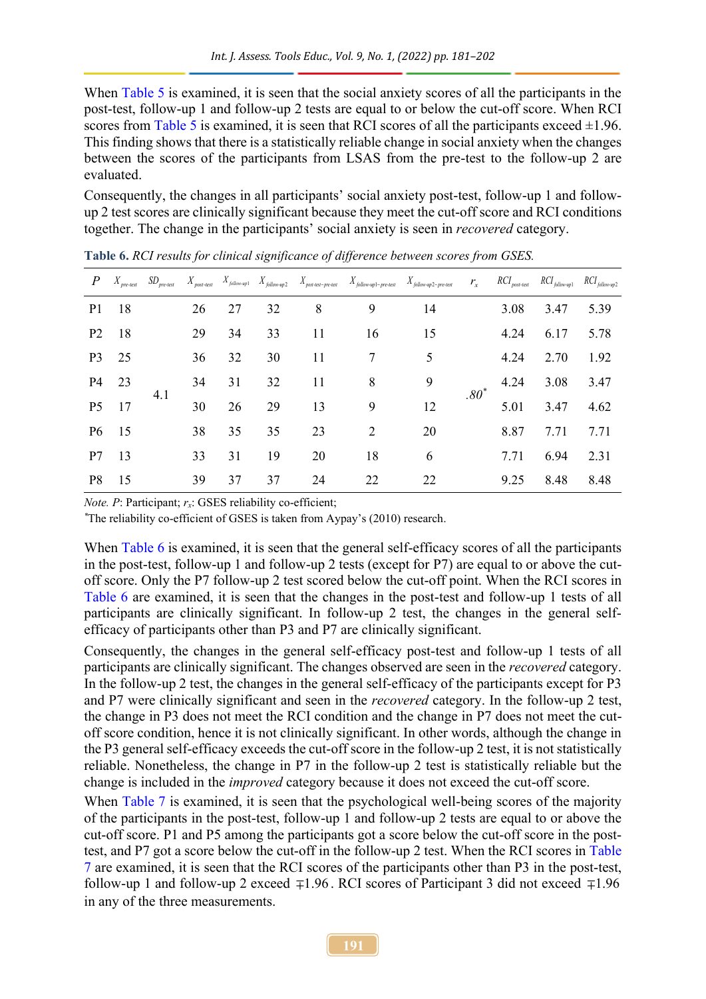When [Table 5](#page-9-1) is examined, it is seen that the social anxiety scores of all the participants in the post-test, follow-up 1 and follow-up 2 tests are equal to or below the cut-off score. When RCI scores from [Table 5](#page-9-1) is examined, it is seen that RCI scores of all the participants exceed  $\pm 1.96$ . This finding shows that there is a statistically reliable change in social anxiety when the changes between the scores of the participants from LSAS from the pre-test to the follow-up 2 are evaluated.

Consequently, the changes in all participants' social anxiety post-test, follow-up 1 and followup 2 test scores are clinically significant because they meet the cut-off score and RCI conditions together. The change in the participants' social anxiety is seen in *recovered* category.

| $P_{-}$        | $X_{pre-test}$ | $SD_{pre-test}$ |    |    |    |    |    | $X_{post-test}$ $X_{follow-up1}$ $X_{follow-up2}$ $X_{post-test-pre-test}$ $X_{follow-up1-pre-test}$ $X_{follow-up2-pre-test}$ | $r_{x}$ | $RCI_{\mathit{post-test}}$ | $RCI_{\text{follow-up1}}$ $RCI_{\text{follow-up2}}$ |      |
|----------------|----------------|-----------------|----|----|----|----|----|--------------------------------------------------------------------------------------------------------------------------------|---------|----------------------------|-----------------------------------------------------|------|
| P <sub>1</sub> | 18             |                 | 26 | 27 | 32 | 8  | 9  | 14                                                                                                                             |         | 3.08                       | 3.47                                                | 5.39 |
| P <sub>2</sub> | 18             | 29              |    | 34 | 33 | 11 | 16 | 15                                                                                                                             | $.80^*$ | 4.24                       | 6.17                                                | 5.78 |
| P <sub>3</sub> | 25             |                 | 36 | 32 | 30 | 11 | 7  | 5                                                                                                                              |         | 4.24                       | 2.70                                                | 1.92 |
| P <sub>4</sub> | 23             |                 | 34 | 31 | 32 | 11 | 8  | 9                                                                                                                              |         | 4.24                       | 3.08                                                | 3.47 |
| P <sub>5</sub> | 17             | 4.1             | 30 | 26 | 29 | 13 | 9  | 12                                                                                                                             |         | 5.01                       | 3.47                                                | 4.62 |
| <b>P6</b>      | -15            |                 | 38 | 35 | 35 | 23 | 2  | 20                                                                                                                             |         | 8.87                       | 7.71                                                | 7.71 |
| P7             | 13             |                 | 33 | 31 | 19 | 20 | 18 | 6                                                                                                                              |         | 7.71                       | 6.94                                                | 2.31 |
| P <sub>8</sub> | 15             | 39              | 37 | 37 | 24 | 22 | 22 |                                                                                                                                | 9.25    | 8.48                       | 8.48                                                |      |

<span id="page-10-0"></span>**Table 6.** *RCI results for clinical significance of difference between scores from GSES.*

*Note. P*: Participant;  $r_x$ : GSES reliability co-efficient;

*\**The reliability co-efficient of GSES is taken from Aypay's (2010) research.

When [Table 6](#page-10-0) is examined, it is seen that the general self-efficacy scores of all the participants in the post-test, follow-up 1 and follow-up 2 tests (except for P7) are equal to or above the cutoff score. Only the P7 follow-up 2 test scored below the cut-off point. When the RCI scores in [Table 6](#page-10-0) are examined, it is seen that the changes in the post-test and follow-up 1 tests of all participants are clinically significant. In follow-up 2 test, the changes in the general selfefficacy of participants other than P3 and P7 are clinically significant.

Consequently, the changes in the general self-efficacy post-test and follow-up 1 tests of all participants are clinically significant. The changes observed are seen in the *recovered* category. In the follow-up 2 test, the changes in the general self-efficacy of the participants except for P3 and P7 were clinically significant and seen in the *recovered* category. In the follow-up 2 test, the change in P3 does not meet the RCI condition and the change in P7 does not meet the cutoff score condition, hence it is not clinically significant. In other words, although the change in the P3 general self-efficacy exceeds the cut-off score in the follow-up 2 test, it is not statistically reliable. Nonetheless, the change in P7 in the follow-up 2 test is statistically reliable but the change is included in the *improved* category because it does not exceed the cut-off score.

When [Table 7](#page-11-0) is examined, it is seen that the psychological well-being scores of the majority of the participants in the post-test, follow-up 1 and follow-up 2 tests are equal to or above the cut-off score. P1 and P5 among the participants got a score below the cut-off score in the posttest, and P7 got a score below the cut-off in the follow-up 2 test. When the RCI scores in [Table](#page-11-0)  [7](#page-11-0) are examined, it is seen that the RCI scores of the participants other than P3 in the post-test, follow-up 1 and follow-up 2 exceed  $\mp 1.96$ . RCI scores of Participant 3 did not exceed  $\mp 1.96$ in any of the three measurements.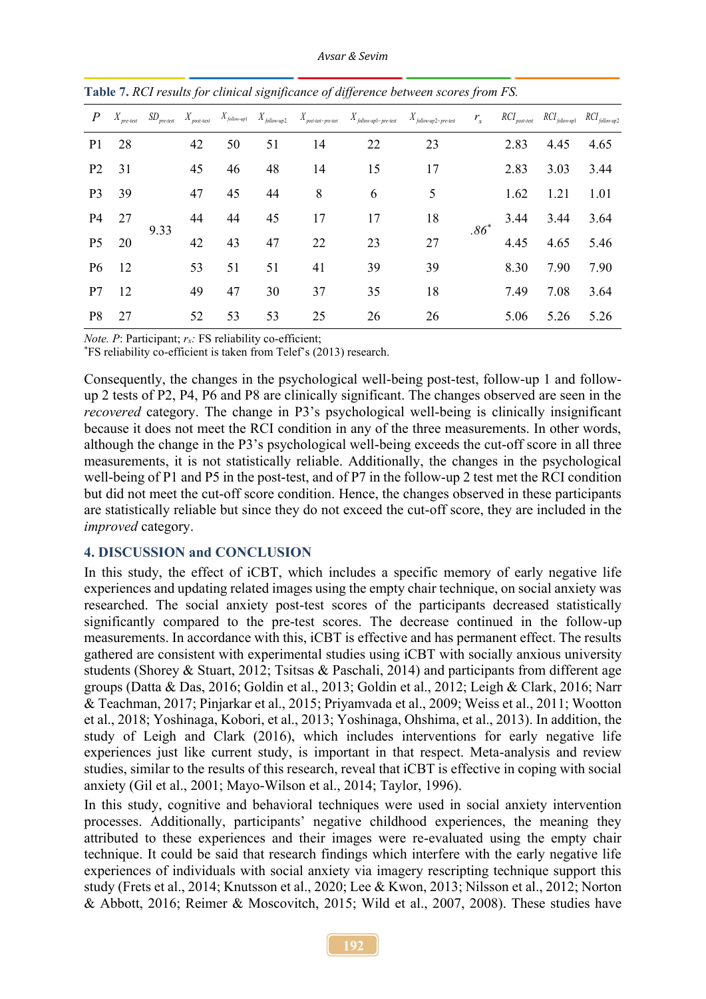*Avsar & Sevim*

| $\boldsymbol{P}$ | $X_{\mathit{pre-test}}$ |      |          |    |    |    |    | $SD_{pre-test}$ $X_{post-test}$ $X_{following1}$ $X_{follow-up}$ $X_{follow-up2}$ $X_{power-up3}$ $X_{post-test-pre-test}$ $X_{follow-up2-pre-test}$ $X_{follow-up2-pre-test}$ | $r_{x}$       |      | $RCI_{post-test}$ $RCI_{follow-up1}$ $RCI_{follow-up2}$ |      |
|------------------|-------------------------|------|----------|----|----|----|----|--------------------------------------------------------------------------------------------------------------------------------------------------------------------------------|---------------|------|---------------------------------------------------------|------|
| P <sub>1</sub>   | 28                      |      | 42       | 50 | 51 | 14 | 22 | 23                                                                                                                                                                             | $.86^{\circ}$ | 2.83 | 4.45                                                    | 4.65 |
| P <sub>2</sub>   | 31                      |      | 45       | 46 | 48 | 14 | 15 | 17                                                                                                                                                                             |               | 2.83 | 3.03                                                    | 3.44 |
| P <sub>3</sub>   | 39                      |      | 47       | 45 | 44 | 8  | 6  | 5                                                                                                                                                                              |               | 1.62 | 1.21                                                    | 1.01 |
| P4               | 27                      | 9.33 | 44       | 44 | 45 | 17 | 17 | 18                                                                                                                                                                             |               | 3.44 | 3.44                                                    | 3.64 |
| P <sub>5</sub>   | 20                      |      | 42       | 43 | 47 | 22 | 23 | 27                                                                                                                                                                             |               | 4.45 | 4.65                                                    | 5.46 |
| P <sub>6</sub>   | 12                      |      | 53       | 51 | 51 | 41 | 39 | 39                                                                                                                                                                             |               | 8.30 | 7.90                                                    | 7.90 |
| P7               | 12                      |      | 49<br>52 | 47 | 30 | 37 | 35 | 18                                                                                                                                                                             |               | 7.49 | 7.08                                                    | 3.64 |
| P8               | 27                      |      |          | 53 | 53 | 25 | 26 | 26                                                                                                                                                                             |               | 5.06 | 5.26                                                    | 5.26 |

<span id="page-11-0"></span>**Table 7.** *RCI results for clinical significance of difference between scores from FS.*

*Note. P*: Participant; *rx:* FS reliability co-efficient;

\*FS reliability co-efficient is taken from Telef's (2013) research.

Consequently, the changes in the psychological well-being post-test, follow-up 1 and followup 2 tests of P2, P4, P6 and P8 are clinically significant. The changes observed are seen in the *recovered* category. The change in P3's psychological well-being is clinically insignificant because it does not meet the RCI condition in any of the three measurements. In other words, although the change in the P3's psychological well-being exceeds the cut-off score in all three measurements, it is not statistically reliable. Additionally, the changes in the psychological well-being of P1 and P5 in the post-test, and of P7 in the follow-up 2 test met the RCI condition but did not meet the cut-off score condition. Hence, the changes observed in these participants are statistically reliable but since they do not exceed the cut-off score, they are included in the *improved* category.

# **4. DISCUSSION and CONCLUSION**

In this study, the effect of iCBT, which includes a specific memory of early negative life experiences and updating related images using the empty chair technique, on social anxiety was researched. The social anxiety post-test scores of the participants decreased statistically significantly compared to the pre-test scores. The decrease continued in the follow-up measurements. In accordance with this, iCBT is effective and has permanent effect. The results gathered are consistent with experimental studies using iCBT with socially anxious university students (Shorey & Stuart, 2012; Tsitsas & Paschali, 2014) and participants from different age groups (Datta & Das, 2016; Goldin et al., 2013; Goldin et al., 2012; Leigh & Clark, 2016; Narr & Teachman, 2017; Pinjarkar et al., 2015; Priyamvada et al., 2009; Weiss et al., 2011; Wootton et al., 2018; Yoshinaga, Kobori, et al., 2013; Yoshinaga, Ohshima, et al., 2013). In addition, the study of Leigh and Clark (2016), which includes interventions for early negative life experiences just like current study, is important in that respect. Meta-analysis and review studies, similar to the results of this research, reveal that iCBT is effective in coping with social anxiety (Gil et al., 2001; Mayo-Wilson et al., 2014; Taylor, 1996).

In this study, cognitive and behavioral techniques were used in social anxiety intervention processes. Additionally, participants' negative childhood experiences, the meaning they attributed to these experiences and their images were re-evaluated using the empty chair technique. It could be said that research findings which interfere with the early negative life experiences of individuals with social anxiety via imagery rescripting technique support this study (Frets et al., 2014; Knutsson et al., 2020; Lee & Kwon, 2013; Nilsson et al., 2012; Norton & Abbott, 2016; Reimer & Moscovitch, 2015; Wild et al., 2007, 2008). These studies have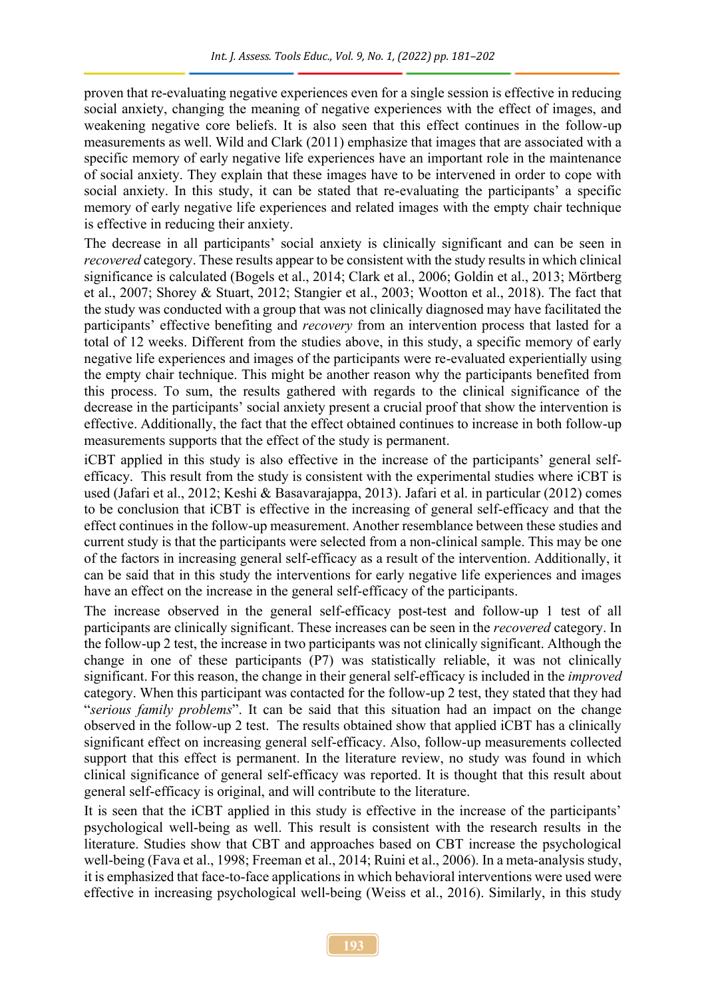proven that re-evaluating negative experiences even for a single session is effective in reducing social anxiety, changing the meaning of negative experiences with the effect of images, and weakening negative core beliefs. It is also seen that this effect continues in the follow-up measurements as well. Wild and Clark (2011) emphasize that images that are associated with a specific memory of early negative life experiences have an important role in the maintenance of social anxiety. They explain that these images have to be intervened in order to cope with social anxiety. In this study, it can be stated that re-evaluating the participants' a specific memory of early negative life experiences and related images with the empty chair technique is effective in reducing their anxiety.

The decrease in all participants' social anxiety is clinically significant and can be seen in *recovered* category. These results appear to be consistent with the study results in which clinical significance is calculated (Bogels et al., 2014; Clark et al., 2006; Goldin et al., 2013; Mörtberg et al., 2007; Shorey & Stuart, 2012; Stangier et al., 2003; Wootton et al., 2018). The fact that the study was conducted with a group that was not clinically diagnosed may have facilitated the participants' effective benefiting and *recovery* from an intervention process that lasted for a total of 12 weeks. Different from the studies above, in this study, a specific memory of early negative life experiences and images of the participants were re-evaluated experientially using the empty chair technique. This might be another reason why the participants benefited from this process. To sum, the results gathered with regards to the clinical significance of the decrease in the participants' social anxiety present a crucial proof that show the intervention is effective. Additionally, the fact that the effect obtained continues to increase in both follow-up measurements supports that the effect of the study is permanent.

iCBT applied in this study is also effective in the increase of the participants' general selfefficacy. This result from the study is consistent with the experimental studies where iCBT is used (Jafari et al., 2012; Keshi & Basavarajappa, 2013). Jafari et al. in particular (2012) comes to be conclusion that iCBT is effective in the increasing of general self-efficacy and that the effect continues in the follow-up measurement. Another resemblance between these studies and current study is that the participants were selected from a non-clinical sample. This may be one of the factors in increasing general self-efficacy as a result of the intervention. Additionally, it can be said that in this study the interventions for early negative life experiences and images have an effect on the increase in the general self-efficacy of the participants.

The increase observed in the general self-efficacy post-test and follow-up 1 test of all participants are clinically significant. These increases can be seen in the *recovered* category. In the follow-up 2 test, the increase in two participants was not clinically significant. Although the change in one of these participants (P7) was statistically reliable, it was not clinically significant. For this reason, the change in their general self-efficacy is included in the *improved*  category. When this participant was contacted for the follow-up 2 test, they stated that they had "*serious family problems*". It can be said that this situation had an impact on the change observed in the follow-up 2 test. The results obtained show that applied iCBT has a clinically significant effect on increasing general self-efficacy. Also, follow-up measurements collected support that this effect is permanent. In the literature review, no study was found in which clinical significance of general self-efficacy was reported. It is thought that this result about general self-efficacy is original, and will contribute to the literature.

It is seen that the iCBT applied in this study is effective in the increase of the participants' psychological well-being as well. This result is consistent with the research results in the literature. Studies show that CBT and approaches based on CBT increase the psychological well-being (Fava et al., 1998; Freeman et al., 2014; Ruini et al., 2006). In a meta-analysis study, it is emphasized that face-to-face applications in which behavioral interventions were used were effective in increasing psychological well-being (Weiss et al., 2016). Similarly, in this study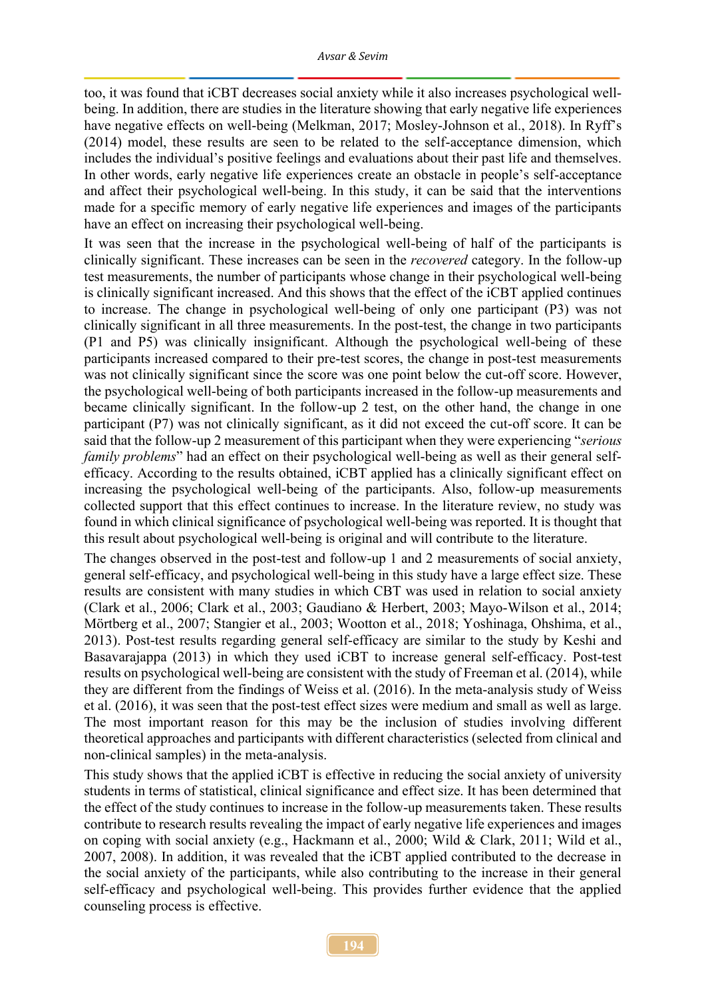too, it was found that iCBT decreases social anxiety while it also increases psychological wellbeing. In addition, there are studies in the literature showing that early negative life experiences have negative effects on well-being (Melkman, 2017; Mosley-Johnson et al., 2018). In Ryff's (2014) model, these results are seen to be related to the self-acceptance dimension, which includes the individual's positive feelings and evaluations about their past life and themselves. In other words, early negative life experiences create an obstacle in people's self-acceptance and affect their psychological well-being. In this study, it can be said that the interventions made for a specific memory of early negative life experiences and images of the participants have an effect on increasing their psychological well-being.

It was seen that the increase in the psychological well-being of half of the participants is clinically significant. These increases can be seen in the *recovered* category. In the follow-up test measurements, the number of participants whose change in their psychological well-being is clinically significant increased. And this shows that the effect of the iCBT applied continues to increase. The change in psychological well-being of only one participant (P3) was not clinically significant in all three measurements. In the post-test, the change in two participants (P1 and P5) was clinically insignificant. Although the psychological well-being of these participants increased compared to their pre-test scores, the change in post-test measurements was not clinically significant since the score was one point below the cut-off score. However, the psychological well-being of both participants increased in the follow-up measurements and became clinically significant. In the follow-up 2 test, on the other hand, the change in one participant (P7) was not clinically significant, as it did not exceed the cut-off score. It can be said that the follow-up 2 measurement of this participant when they were experiencing "*serious family problems*" had an effect on their psychological well-being as well as their general selfefficacy. According to the results obtained, iCBT applied has a clinically significant effect on increasing the psychological well-being of the participants. Also, follow-up measurements collected support that this effect continues to increase. In the literature review, no study was found in which clinical significance of psychological well-being was reported. It is thought that this result about psychological well-being is original and will contribute to the literature.

The changes observed in the post-test and follow-up 1 and 2 measurements of social anxiety, general self-efficacy, and psychological well-being in this study have a large effect size. These results are consistent with many studies in which CBT was used in relation to social anxiety (Clark et al., 2006; Clark et al., 2003; Gaudiano & Herbert, 2003; Mayo-Wilson et al., 2014; Mörtberg et al., 2007; Stangier et al., 2003; Wootton et al., 2018; Yoshinaga, Ohshima, et al., 2013). Post-test results regarding general self-efficacy are similar to the study by Keshi and Basavarajappa (2013) in which they used iCBT to increase general self-efficacy. Post-test results on psychological well-being are consistent with the study of Freeman et al. (2014), while they are different from the findings of Weiss et al. (2016). In the meta-analysis study of Weiss et al. (2016), it was seen that the post-test effect sizes were medium and small as well as large. The most important reason for this may be the inclusion of studies involving different theoretical approaches and participants with different characteristics (selected from clinical and non-clinical samples) in the meta-analysis.

This study shows that the applied iCBT is effective in reducing the social anxiety of university students in terms of statistical, clinical significance and effect size. It has been determined that the effect of the study continues to increase in the follow-up measurements taken. These results contribute to research results revealing the impact of early negative life experiences and images on coping with social anxiety (e.g., Hackmann et al., 2000; Wild & Clark, 2011; Wild et al., 2007, 2008). In addition, it was revealed that the iCBT applied contributed to the decrease in the social anxiety of the participants, while also contributing to the increase in their general self-efficacy and psychological well-being. This provides further evidence that the applied counseling process is effective.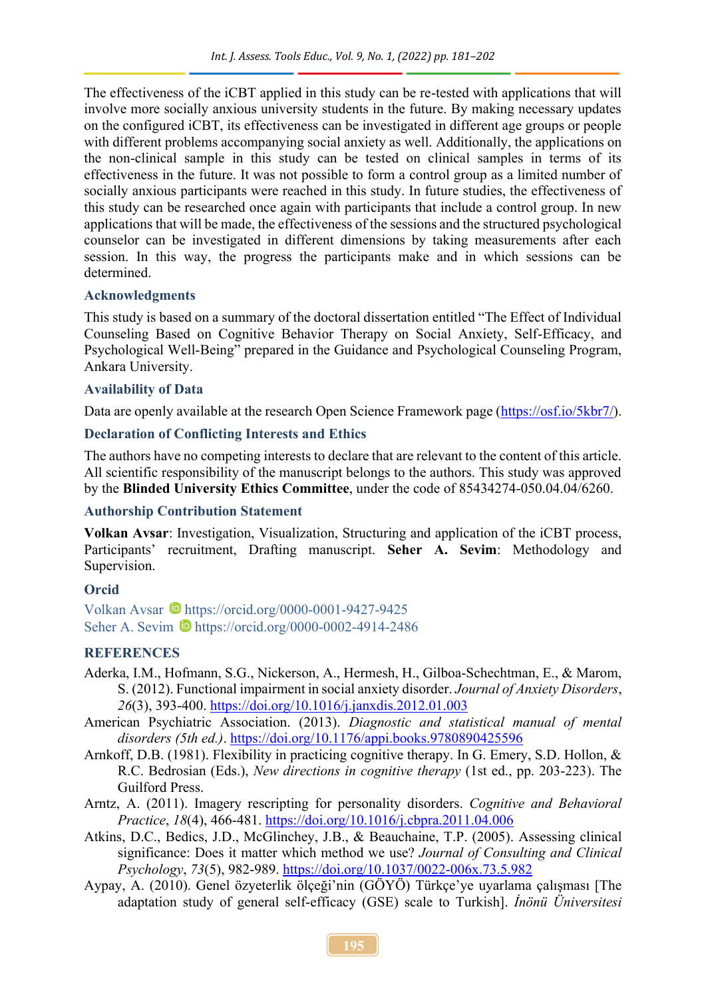The effectiveness of the iCBT applied in this study can be re-tested with applications that will involve more socially anxious university students in the future. By making necessary updates on the configured iCBT, its effectiveness can be investigated in different age groups or people with different problems accompanying social anxiety as well. Additionally, the applications on the non-clinical sample in this study can be tested on clinical samples in terms of its effectiveness in the future. It was not possible to form a control group as a limited number of socially anxious participants were reached in this study. In future studies, the effectiveness of this study can be researched once again with participants that include a control group. In new applications that will be made, the effectiveness of the sessions and the structured psychological counselor can be investigated in different dimensions by taking measurements after each session. In this way, the progress the participants make and in which sessions can be determined.

#### **Acknowledgments**

This study is based on a summary of the doctoral dissertation entitled "The Effect of Individual Counseling Based on Cognitive Behavior Therapy on Social Anxiety, Self-Efficacy, and Psychological Well-Being" prepared in the Guidance and Psychological Counseling Program, Ankara University.

#### **Availability of Data**

Data are openly available at the research Open Science Framework page [\(https://osf.io/5kbr7/\)](https://osf.io/5kbr7/).

#### **Declaration of Conflicting Interests and Ethics**

The authors have no competing interests to declare that are relevant to the content of this article. All scientific responsibility of the manuscript belongs to the authors. This study was approved by the **Blinded University Ethics Committee**, under the code of 85434274-050.04.04/6260.

#### **Authorship Contribution Statement**

**Volkan Avsar**: Investigation, Visualization, Structuring and application of the iCBT process, Participants' recruitment, Drafting manuscript. **Seher A. Sevim**: Methodology and Supervision.

### **Orcid**

Volkan Avsar  $\bullet$  <https://orcid.org/0000-0001-9427-9425> Seher A. Sevim **b** <https://orcid.org/0000-0002-4914-2486>

### **REFERENCES**

- Aderka, I.M., Hofmann, S.G., Nickerson, A., Hermesh, H., Gilboa-Schechtman, E., & Marom, S. (2012). Functional impairment in social anxiety disorder. *Journal of Anxiety Disorders*, *26*(3), 393-400. [https://doi.org/10.1016/j.janxdis.2012.01.003](about:blank)
- American Psychiatric Association. (2013). *Diagnostic and statistical manual of mental disorders (5th ed.)*. [https://doi.org/10.1176/appi.books.9780890425596](about:blank)
- Arnkoff, D.B. (1981). Flexibility in practicing cognitive therapy. In G. Emery, S.D. Hollon, & R.C. Bedrosian (Eds.), *New directions in cognitive therapy* (1st ed., pp. 203-223). The Guilford Press.
- Arntz, A. (2011). Imagery rescripting for personality disorders. *Cognitive and Behavioral Practice*, *18*(4), 466-481. [https://doi.org/10.1016/j.cbpra.2011.04.006](about:blank)
- Atkins, D.C., Bedics, J.D., McGlinchey, J.B., & Beauchaine, T.P. (2005). Assessing clinical significance: Does it matter which method we use? *Journal of Consulting and Clinical Psychology*, *73*(5), 982-989. [https://doi.org/10.1037/0022-006x.73.5.982](about:blank)
- Aypay, A. (2010). Genel özyeterlik ölçeği'nin (GÖYÖ) Türkçe'ye uyarlama çalışması [The adaptation study of general self-efficacy (GSE) scale to Turkish]. *İnönü Üniversitesi*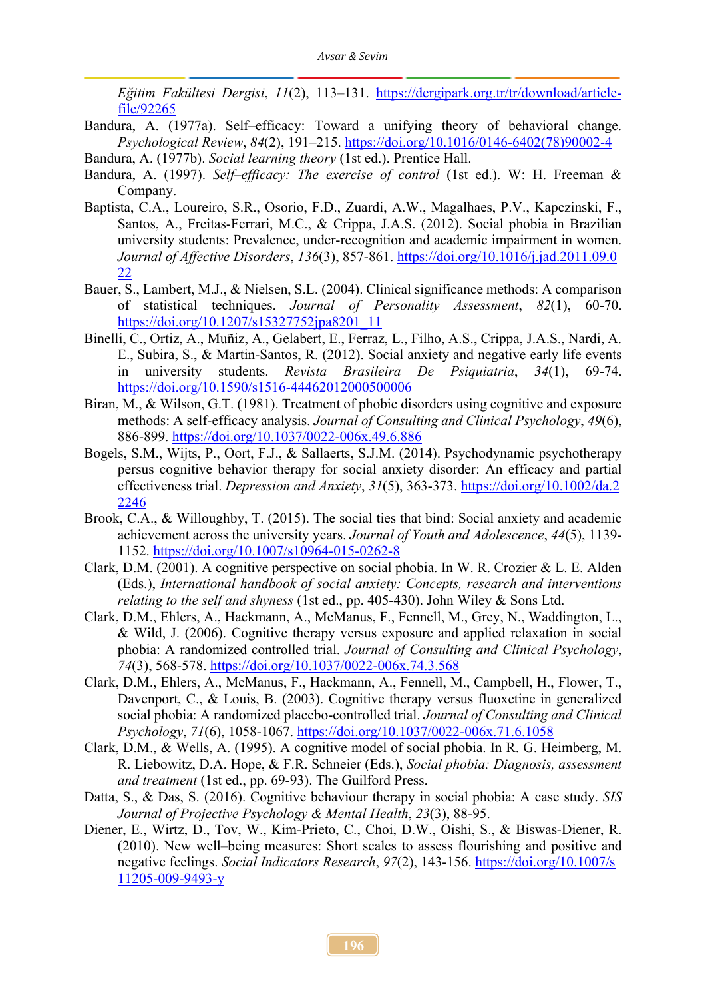*Eğitim Fakültesi Dergisi*, *11*(2), 113–131. [https://dergipark.org.tr/tr/download/article](about:blank)[file/92265](about:blank)

- Bandura, A. (1977a). Self–efficacy: Toward a unifying theory of behavioral change. *Psychological Review*, *84*(2), 191–215. [https://doi.org/10.1016/0146-6402\(78\)90002-4](about:blank)
- Bandura, A. (1977b). *Social learning theory* (1st ed.). Prentice Hall.
- Bandura, A. (1997). *Self–efficacy: The exercise of control* (1st ed.). W: H. Freeman & Company.
- Baptista, C.A., Loureiro, S.R., Osorio, F.D., Zuardi, A.W., Magalhaes, P.V., Kapczinski, F., Santos, A., Freitas-Ferrari, M.C., & Crippa, J.A.S. (2012). Social phobia in Brazilian university students: Prevalence, under-recognition and academic impairment in women. *Journal of Affective Disorders*, *136*(3), 857-861. [https://doi.org/10.1016/j.jad.2011.09.0](https://doi.org/10.1016/j.jad.2011.09.022) [22](https://doi.org/10.1016/j.jad.2011.09.022)
- Bauer, S., Lambert, M.J., & Nielsen, S.L. (2004). Clinical significance methods: A comparison of statistical techniques. *Journal of Personality Assessment*, *82*(1), 60-70. [https://doi.org/10.1207/s15327752jpa8201\\_11](about:blank)
- Binelli, C., Ortiz, A., Muñiz, A., Gelabert, E., Ferraz, L., Filho, A.S., Crippa, J.A.S., Nardi, A. E., Subira, S., & Martin-Santos, R. (2012). Social anxiety and negative early life events in university students. *Revista Brasileira De Psiquiatria*, *34*(1), 69-74. [https://doi.org/10.1590/s1516-44462012000500006](about:blank)
- Biran, M., & Wilson, G.T. (1981). Treatment of phobic disorders using cognitive and exposure methods: A self-efficacy analysis. *Journal of Consulting and Clinical Psychology*, *49*(6), 886-899. [https://doi.org/10.1037/0022-006x.49.6.886](about:blank)
- Bogels, S.M., Wijts, P., Oort, F.J., & Sallaerts, S.J.M. (2014). Psychodynamic psychotherapy persus cognitive behavior therapy for social anxiety disorder: An efficacy and partial effectiveness trial. *Depression and Anxiety*, *31*(5), 363-373. [https://doi.org/10.1002/da.2](https://doi.org/10.1002/da.22246) [2246](https://doi.org/10.1002/da.22246)
- Brook, C.A., & Willoughby, T. (2015). The social ties that bind: Social anxiety and academic achievement across the university years. *Journal of Youth and Adolescence*, *44*(5), 1139- 1152. [https://doi.org/10.1007/s10964-015-0262-8](about:blank)
- Clark, D.M. (2001). A cognitive perspective on social phobia. In W. R. Crozier & L. E. Alden (Eds.), *International handbook of social anxiety: Concepts, research and interventions relating to the self and shyness* (1st ed., pp. 405-430). John Wiley & Sons Ltd.
- Clark, D.M., Ehlers, A., Hackmann, A., McManus, F., Fennell, M., Grey, N., Waddington, L., & Wild, J. (2006). Cognitive therapy versus exposure and applied relaxation in social phobia: A randomized controlled trial. *Journal of Consulting and Clinical Psychology*, *74*(3), 568-578. [https://doi.org/10.1037/0022-006x.74.3.568](about:blank)
- Clark, D.M., Ehlers, A., McManus, F., Hackmann, A., Fennell, M., Campbell, H., Flower, T., Davenport, C., & Louis, B. (2003). Cognitive therapy versus fluoxetine in generalized social phobia: A randomized placebo-controlled trial. *Journal of Consulting and Clinical Psychology*, *71*(6), 1058-1067. [https://doi.org/10.1037/0022-006x.71.6.1058](about:blank)
- Clark, D.M., & Wells, A. (1995). A cognitive model of social phobia. In R. G. Heimberg, M. R. Liebowitz, D.A. Hope, & F.R. Schneier (Eds.), *Social phobia: Diagnosis, assessment and treatment* (1st ed., pp. 69-93). The Guilford Press.
- Datta, S., & Das, S. (2016). Cognitive behaviour therapy in social phobia: A case study. *SIS Journal of Projective Psychology & Mental Health*, *23*(3), 88-95.
- Diener, E., Wirtz, D., Tov, W., Kim-Prieto, C., Choi, D.W., Oishi, S., & Biswas-Diener, R. (2010). New well–being measures: Short scales to assess flourishing and positive and negative feelings. *Social Indicators Research*, *97*(2), 143-156. [https://doi.org/10.1007/s](https://doi.org/10.1007/s11205-009-9493-y) [11205-009-9493-y](https://doi.org/10.1007/s11205-009-9493-y)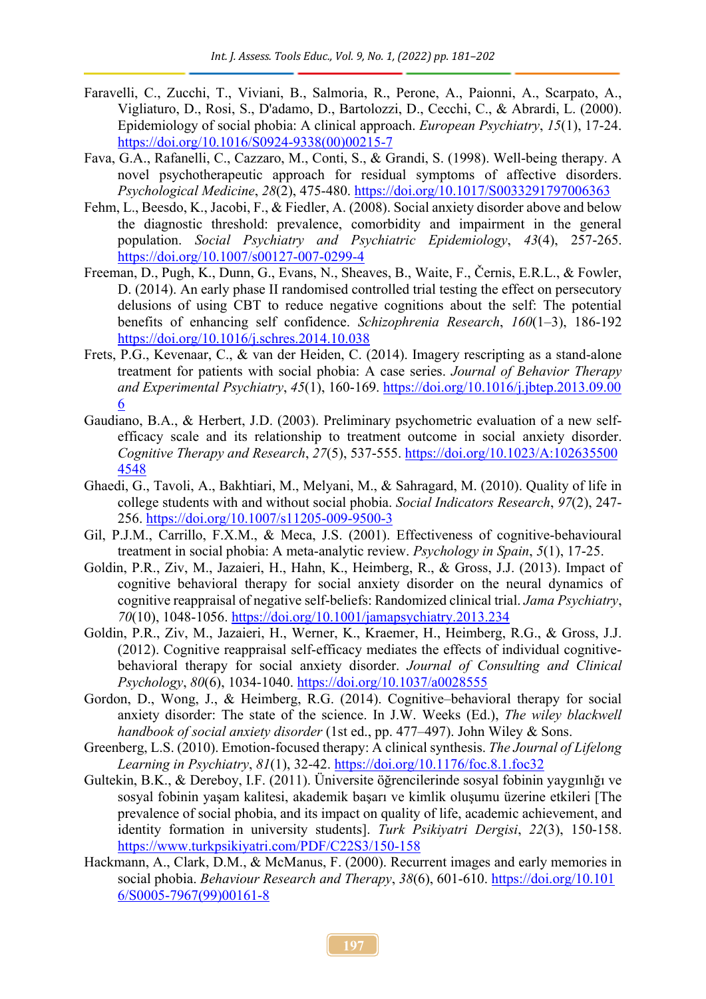- Faravelli, C., Zucchi, T., Viviani, B., Salmoria, R., Perone, A., Paionni, A., Scarpato, A., Vigliaturo, D., Rosi, S., D'adamo, D., Bartolozzi, D., Cecchi, C., & Abrardi, L. (2000). Epidemiology of social phobia: A clinical approach. *European Psychiatry*, *15*(1), 17-24. [https://doi.org/10.1016/S0924-9338\(00\)00215-7](about:blank)
- Fava, G.A., Rafanelli, C., Cazzaro, M., Conti, S., & Grandi, S. (1998). Well-being therapy. A novel psychotherapeutic approach for residual symptoms of affective disorders. *Psychological Medicine*, *28*(2), 475-480. [https://doi.org/10.1017/S0033291797006363](about:blank)
- Fehm, L., Beesdo, K., Jacobi, F., & Fiedler, A. (2008). Social anxiety disorder above and below the diagnostic threshold: prevalence, comorbidity and impairment in the general population. *Social Psychiatry and Psychiatric Epidemiology*, *43*(4), 257-265. [https://doi.org/10.1007/s00127-007-0299-4](about:blank)
- Freeman, D., Pugh, K., Dunn, G., Evans, N., Sheaves, B., Waite, F., Černis, E.R.L., & Fowler, D. (2014). An early phase II randomised controlled trial testing the effect on persecutory delusions of using CBT to reduce negative cognitions about the self: The potential benefits of enhancing self confidence. *Schizophrenia Research*, *160*(1–3), 186-192 [https://doi.org/10.1016/j.schres.2014.10.038](about:blank)
- Frets, P.G., Kevenaar, C., & van der Heiden, C. (2014). Imagery rescripting as a stand-alone treatment for patients with social phobia: A case series. *Journal of Behavior Therapy and Experimental Psychiatry*, *45*(1), 160-169. [https://doi.org/10.1016/j.jbtep.2013.09.00](https://doi.org/10.1016/j.jbtep.2013.09.006) [6](https://doi.org/10.1016/j.jbtep.2013.09.006)
- Gaudiano, B.A., & Herbert, J.D. (2003). Preliminary psychometric evaluation of a new selfefficacy scale and its relationship to treatment outcome in social anxiety disorder. *Cognitive Therapy and Research*, *27*(5), 537-555. [https://doi.org/10.1023/A:102635500](https://doi.org/10.1023/A:1026355004548) [4548](https://doi.org/10.1023/A:1026355004548)
- Ghaedi, G., Tavoli, A., Bakhtiari, M., Melyani, M., & Sahragard, M. (2010). Quality of life in college students with and without social phobia. *Social Indicators Research*, *97*(2), 247- 256. [https://doi.org/10.1007/s11205-009-9500-3](about:blank)
- Gil, P.J.M., Carrillo, F.X.M., & Meca, J.S. (2001). Effectiveness of cognitive-behavioural treatment in social phobia: A meta-analytic review. *Psychology in Spain*, *5*(1), 17-25.
- Goldin, P.R., Ziv, M., Jazaieri, H., Hahn, K., Heimberg, R., & Gross, J.J. (2013). Impact of cognitive behavioral therapy for social anxiety disorder on the neural dynamics of cognitive reappraisal of negative self-beliefs: Randomized clinical trial. *Jama Psychiatry*, *70*(10), 1048-1056. [https://doi.org/10.1001/jamapsychiatry.2013.234](about:blank)
- Goldin, P.R., Ziv, M., Jazaieri, H., Werner, K., Kraemer, H., Heimberg, R.G., & Gross, J.J. (2012). Cognitive reappraisal self-efficacy mediates the effects of individual cognitivebehavioral therapy for social anxiety disorder. *Journal of Consulting and Clinical Psychology*, *80*(6), 1034-1040. [https://doi.org/10.1037/a0028555](about:blank)
- Gordon, D., Wong, J., & Heimberg, R.G. (2014). Cognitive–behavioral therapy for social anxiety disorder: The state of the science. In J.W. Weeks (Ed.), *The wiley blackwell handbook of social anxiety disorder* (1st ed., pp. 477–497). John Wiley & Sons.
- Greenberg, L.S. (2010). Emotion-focused therapy: A clinical synthesis. *The Journal of Lifelong Learning in Psychiatry*, *81*(1), 32-42. [https://doi.org/10.1176/foc.8.1.foc32](about:blank)
- Gultekin, B.K., & Dereboy, I.F. (2011). Üniversite öğrencilerinde sosyal fobinin yaygınlığı ve sosyal fobinin yaşam kalitesi, akademik başarı ve kimlik oluşumu üzerine etkileri [The prevalence of social phobia, and its impact on quality of life, academic achievement, and identity formation in university students]. *Turk Psikiyatri Dergisi*, *22*(3), 150-158. [https://www.turkpsikiyatri.com/PDF/C22S3/150-158](about:blank)
- Hackmann, A., Clark, D.M., & McManus, F. (2000). Recurrent images and early memories in social phobia. *Behaviour Research and Therapy*, *38*(6), 601-610. [https://doi.org/10.101](https://doi.org/10.1016/S0005-7967(99)00161-8) [6/S0005-7967\(99\)00161-8](https://doi.org/10.1016/S0005-7967(99)00161-8)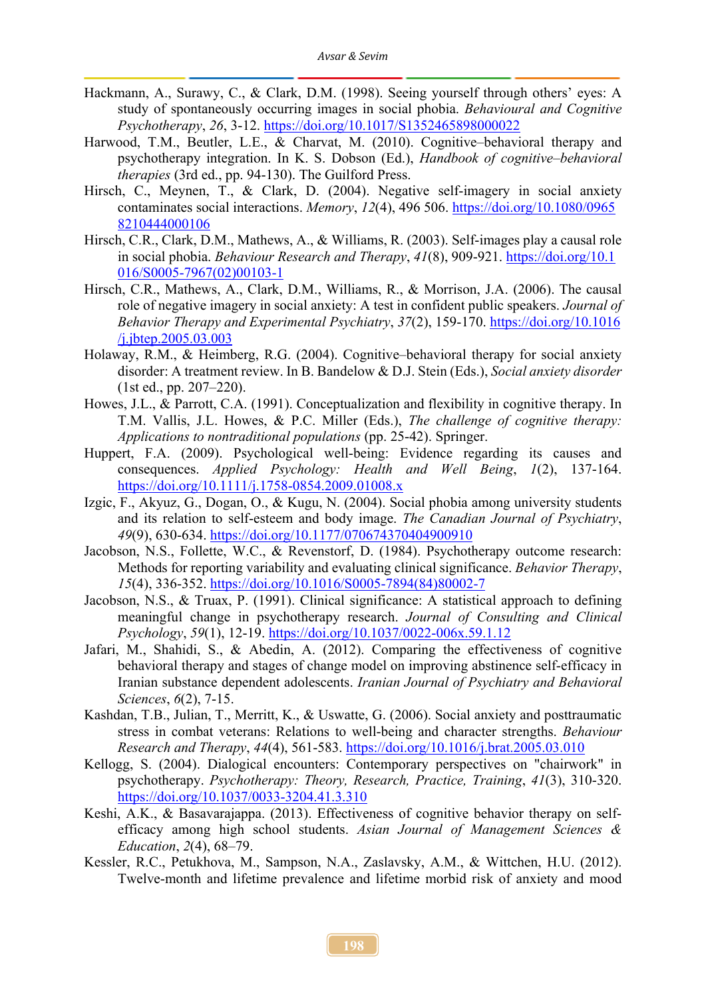- Hackmann, A., Surawy, C., & Clark, D.M. (1998). Seeing yourself through others' eyes: A study of spontaneously occurring images in social phobia. *Behavioural and Cognitive Psychotherapy*, *26*, 3-12. [https://doi.org/10.1017/S1352465898000022](about:blank)
- Harwood, T.M., Beutler, L.E., & Charvat, M. (2010). Cognitive–behavioral therapy and psychotherapy integration. In K. S. Dobson (Ed.), *Handbook of cognitive–behavioral therapies* (3rd ed., pp. 94-130). The Guilford Press.
- Hirsch, C., Meynen, T., & Clark, D. (2004). Negative self-imagery in social anxiety contaminates social interactions. *Memory*, *12*(4), 496 506. [https://doi.org/10.1080/0965](https://doi.org/10.1080/09658210444000106) [8210444000106](https://doi.org/10.1080/09658210444000106)
- Hirsch, C.R., Clark, D.M., Mathews, A., & Williams, R. (2003). Self-images play a causal role in social phobia. *Behaviour Research and Therapy*, *41*(8), 909-921. [https://doi.org/10.1](https://doi.org/10.1016/S0005-7967(02)00103-1) [016/S0005-7967\(02\)00103-1](https://doi.org/10.1016/S0005-7967(02)00103-1)
- Hirsch, C.R., Mathews, A., Clark, D.M., Williams, R., & Morrison, J.A. (2006). The causal role of negative imagery in social anxiety: A test in confident public speakers. *Journal of Behavior Therapy and Experimental Psychiatry*, *37*(2), 159-170. [https://doi.org/10.1016](https://doi.org/10.1016/j.jbtep.2005.03.003) [/j.jbtep.2005.03.003](https://doi.org/10.1016/j.jbtep.2005.03.003)
- Holaway, R.M., & Heimberg, R.G. (2004). Cognitive–behavioral therapy for social anxiety disorder: A treatment review. In B. Bandelow & D.J. Stein (Eds.), *Social anxiety disorder* (1st ed., pp. 207–220).
- Howes, J.L., & Parrott, C.A. (1991). Conceptualization and flexibility in cognitive therapy. In T.M. Vallis, J.L. Howes, & P.C. Miller (Eds.), *The challenge of cognitive therapy: Applications to nontraditional populations* (pp. 25-42). Springer.
- Huppert, F.A. (2009). Psychological well-being: Evidence regarding its causes and consequences. *Applied Psychology: Health and Well Being*, *1*(2), 137-164. [https://doi.org/10.1111/j.1758-0854.2009.01008.x](about:blank)
- Izgic, F., Akyuz, G., Dogan, O., & Kugu, N. (2004). Social phobia among university students and its relation to self-esteem and body image. *The Canadian Journal of Psychiatry*, *49*(9), 630-634. [https://doi.org/10.1177/070674370404900910](about:blank)
- Jacobson, N.S., Follette, W.C., & Revenstorf, D. (1984). Psychotherapy outcome research: Methods for reporting variability and evaluating clinical significance. *Behavior Therapy*, *15*(4), 336-352. [https://doi.org/10.1016/S0005-7894\(84\)80002-7](about:blank)
- Jacobson, N.S., & Truax, P. (1991). Clinical significance: A statistical approach to defining meaningful change in psychotherapy research. *Journal of Consulting and Clinical Psychology*, *59*(1), 12-19. [https://doi.org/10.1037/0022-006x.59.1.12](about:blank)
- Jafari, M., Shahidi, S., & Abedin, A. (2012). Comparing the effectiveness of cognitive behavioral therapy and stages of change model on improving abstinence self-efficacy in Iranian substance dependent adolescents. *Iranian Journal of Psychiatry and Behavioral Sciences*, *6*(2), 7-15.
- Kashdan, T.B., Julian, T., Merritt, K., & Uswatte, G. (2006). Social anxiety and posttraumatic stress in combat veterans: Relations to well-being and character strengths. *Behaviour Research and Therapy*, *44*(4), 561-583. [https://doi.org/10.1016/j.brat.2005.03.010](about:blank)
- Kellogg, S. (2004). Dialogical encounters: Contemporary perspectives on "chairwork" in psychotherapy. *Psychotherapy: Theory, Research, Practice, Training*, *41*(3), 310-320. [https://doi.org/10.1037/0033-3204.41.3.310](about:blank)
- Keshi, A.K., & Basavarajappa. (2013). Effectiveness of cognitive behavior therapy on selfefficacy among high school students. *Asian Journal of Management Sciences & Education*, *2*(4), 68–79.
- Kessler, R.C., Petukhova, M., Sampson, N.A., Zaslavsky, A.M., & Wittchen, H.U. (2012). Twelve-month and lifetime prevalence and lifetime morbid risk of anxiety and mood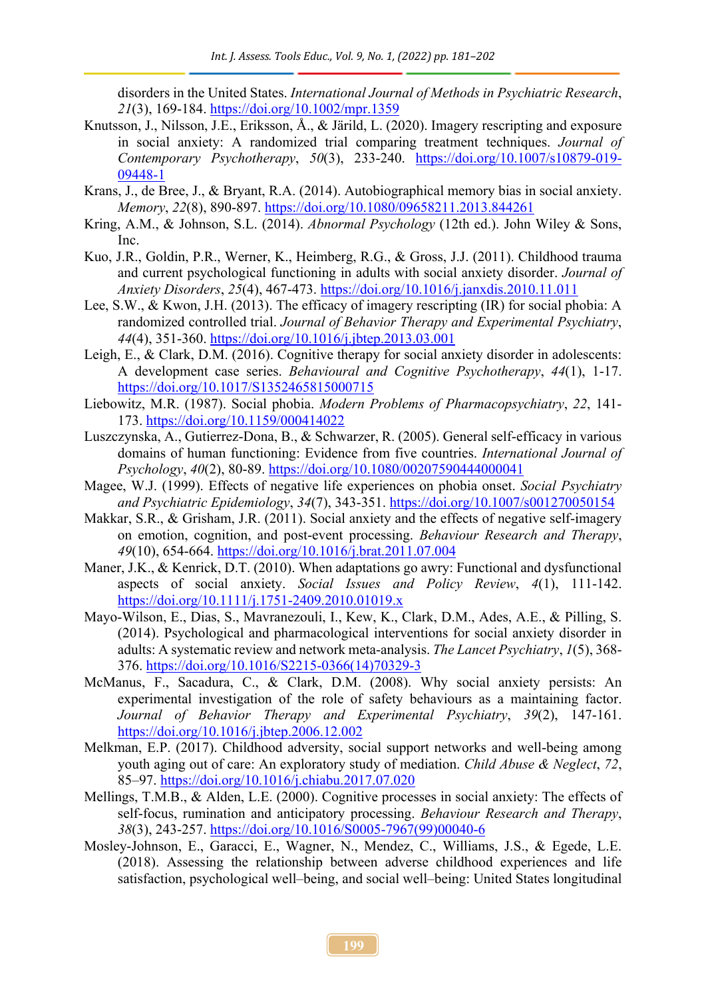disorders in the United States. *International Journal of Methods in Psychiatric Research*, *21*(3), 169-184. [https://doi.org/10.1002/mpr.1359](about:blank)

- Knutsson, J., Nilsson, J.E., Eriksson, Å., & Järild, L. (2020). Imagery rescripting and exposure in social anxiety: A randomized trial comparing treatment techniques. *Journal of Contemporary Psychotherapy*, *50*(3), 233-240. [https://doi.org/10.1007/s10879-019-](about:blank) [09448-1](about:blank)
- Krans, J., de Bree, J., & Bryant, R.A. (2014). Autobiographical memory bias in social anxiety. *Memory*, *22*(8), 890-897. [https://doi.org/10.1080/09658211.2013.844261](about:blank)
- Kring, A.M., & Johnson, S.L. (2014). *Abnormal Psychology* (12th ed.). John Wiley & Sons, Inc.
- Kuo, J.R., Goldin, P.R., Werner, K., Heimberg, R.G., & Gross, J.J. (2011). Childhood trauma and current psychological functioning in adults with social anxiety disorder. *Journal of Anxiety Disorders*, *25*(4), 467-473. [https://doi.org/10.1016/j.janxdis.2010.11.011](about:blank)
- Lee, S.W., & Kwon, J.H. (2013). The efficacy of imagery rescripting (IR) for social phobia: A randomized controlled trial. *Journal of Behavior Therapy and Experimental Psychiatry*, *44*(4), 351-360. [https://doi.org/10.1016/j.jbtep.2013.03.001](about:blank)
- Leigh, E., & Clark, D.M. (2016). Cognitive therapy for social anxiety disorder in adolescents: A development case series. *Behavioural and Cognitive Psychotherapy*, *44*(1), 1-17. [https://doi.org/10.1017/S1352465815000715](about:blank)
- Liebowitz, M.R. (1987). Social phobia. *Modern Problems of Pharmacopsychiatry*, *22*, 141- 173. [https://doi.org/10.1159/000414022](about:blank)
- Luszczynska, A., Gutierrez-Dona, B., & Schwarzer, R. (2005). General self-efficacy in various domains of human functioning: Evidence from five countries. *International Journal of Psychology*, *40*(2), 80-89. [https://doi.org/10.1080/00207590444000041](about:blank)
- Magee, W.J. (1999). Effects of negative life experiences on phobia onset. *Social Psychiatry and Psychiatric Epidemiology*, *34*(7), 343-351. [https://doi.org/10.1007/s001270050154](about:blank)
- Makkar, S.R., & Grisham, J.R. (2011). Social anxiety and the effects of negative self-imagery on emotion, cognition, and post-event processing. *Behaviour Research and Therapy*, *49*(10), 654-664. [https://doi.org/10.1016/j.brat.2011.07.004](about:blank)
- Maner, J.K., & Kenrick, D.T. (2010). When adaptations go awry: Functional and dysfunctional aspects of social anxiety. *Social Issues and Policy Review*, *4*(1), 111-142. [https://doi.org/10.1111/j.1751-2409.2010.01019.x](about:blank)
- Mayo-Wilson, E., Dias, S., Mavranezouli, I., Kew, K., Clark, D.M., Ades, A.E., & Pilling, S. (2014). Psychological and pharmacological interventions for social anxiety disorder in adults: A systematic review and network meta-analysis. *The Lancet Psychiatry*, *1*(5), 368- 376. [https://doi.org/10.1016/S2215-0366\(14\)70329-3](about:blank)
- McManus, F., Sacadura, C., & Clark, D.M. (2008). Why social anxiety persists: An experimental investigation of the role of safety behaviours as a maintaining factor. *Journal of Behavior Therapy and Experimental Psychiatry*, *39*(2), 147-161. [https://doi.org/10.1016/j.jbtep.2006.12.002](about:blank)
- Melkman, E.P. (2017). Childhood adversity, social support networks and well-being among youth aging out of care: An exploratory study of mediation. *Child Abuse & Neglect*, *72*, 85–97. [https://doi.org/10.1016/j.chiabu.2017.07.020](about:blank)
- Mellings, T.M.B., & Alden, L.E. (2000). Cognitive processes in social anxiety: The effects of self-focus, rumination and anticipatory processing. *Behaviour Research and Therapy*, *38*(3), 243-257. [https://doi.org/10.1016/S0005-7967\(99\)00040-6](about:blank)
- Mosley-Johnson, E., Garacci, E., Wagner, N., Mendez, C., Williams, J.S., & Egede, L.E. (2018). Assessing the relationship between adverse childhood experiences and life satisfaction, psychological well–being, and social well–being: United States longitudinal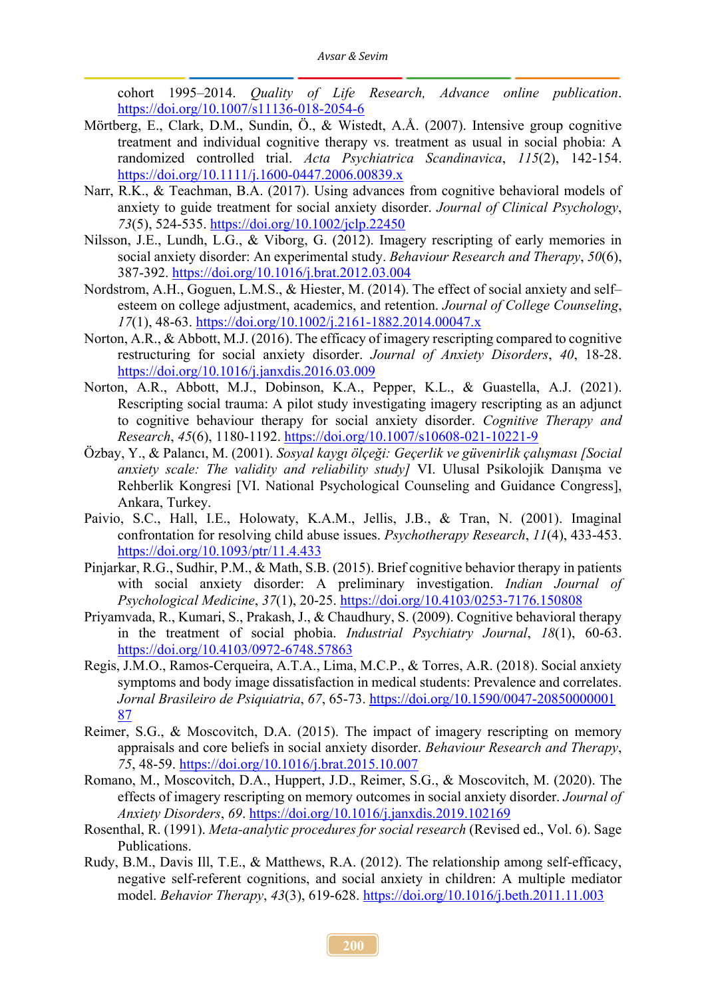cohort 1995–2014. *Quality of Life Research, Advance online publication*. [https://doi.org/10.1007/s11136-018-2054-6](about:blank)

- Mörtberg, E., Clark, D.M., Sundin, Ö., & Wistedt, A.Å. (2007). Intensive group cognitive treatment and individual cognitive therapy vs. treatment as usual in social phobia: A randomized controlled trial. *Acta Psychiatrica Scandinavica*, *115*(2), 142-154. [https://doi.org/10.1111/j.1600-0447.2006.00839.x](about:blank)
- Narr, R.K., & Teachman, B.A. (2017). Using advances from cognitive behavioral models of anxiety to guide treatment for social anxiety disorder. *Journal of Clinical Psychology*, *73*(5), 524-535. [https://doi.org/10.1002/jclp.22450](about:blank)
- Nilsson, J.E., Lundh, L.G., & Viborg, G. (2012). Imagery rescripting of early memories in social anxiety disorder: An experimental study. *Behaviour Research and Therapy*, *50*(6), 387-392. [https://doi.org/10.1016/j.brat.2012.03.004](about:blank)
- Nordstrom, A.H., Goguen, L.M.S., & Hiester, M. (2014). The effect of social anxiety and self– esteem on college adjustment, academics, and retention. *Journal of College Counseling*, *17*(1), 48-63. [https://doi.org/10.1002/j.2161-1882.2014.00047.x](about:blank)
- Norton, A.R., & Abbott, M.J. (2016). The efficacy of imagery rescripting compared to cognitive restructuring for social anxiety disorder. *Journal of Anxiety Disorders*, *40*, 18-28. [https://doi.org/10.1016/j.janxdis.2016.03.009](about:blank)
- Norton, A.R., Abbott, M.J., Dobinson, K.A., Pepper, K.L., & Guastella, A.J. (2021). Rescripting social trauma: A pilot study investigating imagery rescripting as an adjunct to cognitive behaviour therapy for social anxiety disorder. *Cognitive Therapy and Research*, *45*(6), 1180-1192. [https://doi.org/10.1007/s10608-021-10221-9](about:blank)
- Özbay, Y., & Palancı, M. (2001). *Sosyal kaygı ölçeği: Geçerlik ve güvenirlik çalışması [Social anxiety scale: The validity and reliability study]* VI. Ulusal Psikolojik Danışma ve Rehberlik Kongresi [VI. National Psychological Counseling and Guidance Congress], Ankara, Turkey.
- Paivio, S.C., Hall, I.E., Holowaty, K.A.M., Jellis, J.B., & Tran, N. (2001). Imaginal confrontation for resolving child abuse issues. *Psychotherapy Research*, *11*(4), 433-453. [https://doi.org/10.1093/ptr/11.4.433](about:blank)
- Pinjarkar, R.G., Sudhir, P.M., & Math, S.B. (2015). Brief cognitive behavior therapy in patients with social anxiety disorder: A preliminary investigation. *Indian Journal of Psychological Medicine*, *37*(1), 20-25. [https://doi.org/10.4103/0253-7176.150808](about:blank)
- Priyamvada, R., Kumari, S., Prakash, J., & Chaudhury, S. (2009). Cognitive behavioral therapy in the treatment of social phobia. *Industrial Psychiatry Journal*, *18*(1), 60-63. [https://doi.org/10.4103/0972-6748.57863](about:blank)
- Regis, J.M.O., Ramos-Cerqueira, A.T.A., Lima, M.C.P., & Torres, A.R. (2018). Social anxiety symptoms and body image dissatisfaction in medical students: Prevalence and correlates. *Jornal Brasileiro de Psiquiatria*, *67*, 65-73. [https://doi.org/10.1590/0047-20850000001](https://doi.org/10.1590/00472085000000187) [87](https://doi.org/10.1590/00472085000000187)
- Reimer, S.G., & Moscovitch, D.A. (2015). The impact of imagery rescripting on memory appraisals and core beliefs in social anxiety disorder. *Behaviour Research and Therapy*, *75*, 48-59. [https://doi.org/10.1016/j.brat.2015.10.007](about:blank)
- Romano, M., Moscovitch, D.A., Huppert, J.D., Reimer, S.G., & Moscovitch, M. (2020). The effects of imagery rescripting on memory outcomes in social anxiety disorder. *Journal of Anxiety Disorders*, *69*. [https://doi.org/10.1016/j.janxdis.2019.102169](about:blank)
- Rosenthal, R. (1991). *Meta-analytic procedures for social research* (Revised ed., Vol. 6). Sage Publications.
- Rudy, B.M., Davis Ill, T.E., & Matthews, R.A. (2012). The relationship among self-efficacy, negative self-referent cognitions, and social anxiety in children: A multiple mediator model. *Behavior Therapy*, *43*(3), 619-628. [https://doi.org/10.1016/j.beth.2011.11.003](about:blank)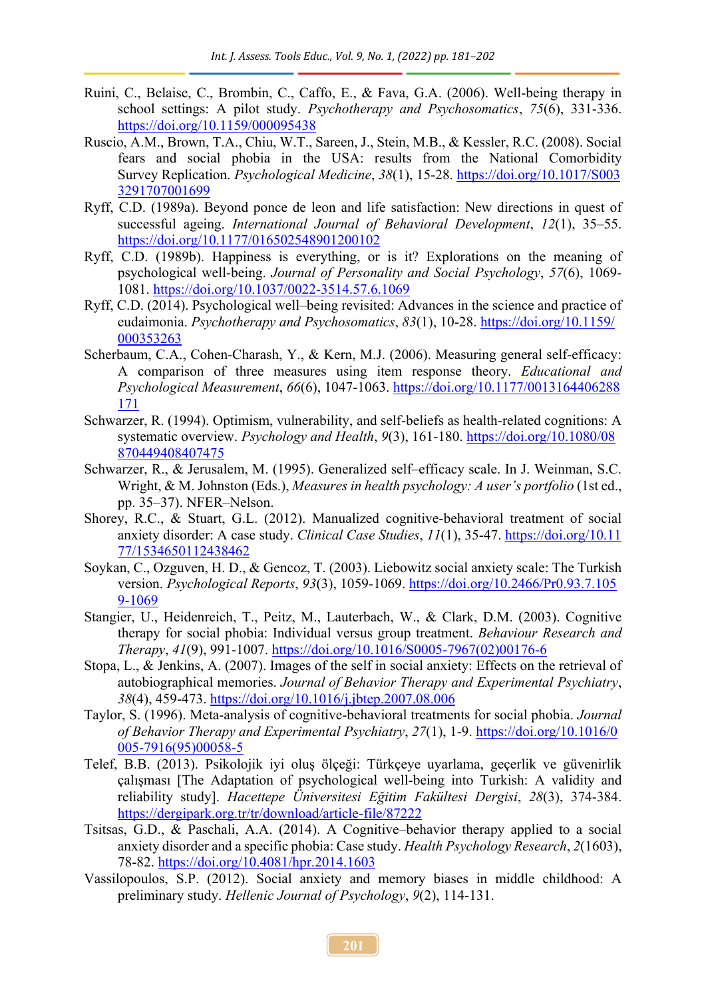- Ruini, C., Belaise, C., Brombin, C., Caffo, E., & Fava, G.A. (2006). Well-being therapy in school settings: A pilot study. *Psychotherapy and Psychosomatics*, *75*(6), 331-336. [https://doi.org/10.1159/000095438](about:blank)
- Ruscio, A.M., Brown, T.A., Chiu, W.T., Sareen, J., Stein, M.B., & Kessler, R.C. (2008). Social fears and social phobia in the USA: results from the National Comorbidity Survey Replication. *Psychological Medicine*, *38*(1), 15-28. [https://doi.org/10.1017/S003](https://doi.org/10.1017/S0033291707001699) [3291707001699](https://doi.org/10.1017/S0033291707001699)
- Ryff, C.D. (1989a). Beyond ponce de leon and life satisfaction: New directions in quest of successful ageing. *International Journal of Behavioral Development*, *12*(1), 35–55. [https://doi.org/10.1177/016502548901200102](about:blank)
- Ryff, C.D. (1989b). Happiness is everything, or is it? Explorations on the meaning of psychological well-being. *Journal of Personality and Social Psychology*, *57*(6), 1069- 1081. [https://doi.org/10.1037/0022-3514.57.6.1069](about:blank)
- Ryff, C.D. (2014). Psychological well–being revisited: Advances in the science and practice of eudaimonia. *Psychotherapy and Psychosomatics*, *83*(1), 10-28. [https://doi.org/10.1159/](https://doi.org/10.1159/000353263) [000353263](https://doi.org/10.1159/000353263)
- Scherbaum, C.A., Cohen-Charash, Y., & Kern, M.J. (2006). Measuring general self-efficacy: A comparison of three measures using item response theory. *Educational and Psychological Measurement*, *66*(6), 1047-1063. [https://doi.org/10.1177/0013164406288](https://doi.org/10.1177/0013164406288171) [171](https://doi.org/10.1177/0013164406288171)
- Schwarzer, R. (1994). Optimism, vulnerability, and self-beliefs as health-related cognitions: A systematic overview. *Psychology and Health*, *9*(3), 161-180. [https://doi.org/10.1080/08](https://doi.org/10.1080/08870449408407475) [870449408407475](https://doi.org/10.1080/08870449408407475)
- Schwarzer, R., & Jerusalem, M. (1995). Generalized self–efficacy scale. In J. Weinman, S.C. Wright, & M. Johnston (Eds.), *Measures in health psychology: A user's portfolio* (1st ed., pp. 35–37). NFER–Nelson.
- Shorey, R.C., & Stuart, G.L. (2012). Manualized cognitive-behavioral treatment of social anxiety disorder: A case study. *Clinical Case Studies*, *11*(1), 35-47. [https://doi.org/10.11](https://doi.org/10.1177/1534650112438462) [77/1534650112438462](https://doi.org/10.1177/1534650112438462)
- Soykan, C., Ozguven, H. D., & Gencoz, T. (2003). Liebowitz social anxiety scale: The Turkish version. *Psychological Reports*, *93*(3), 1059-1069. [https://doi.org/10.2466/Pr0.93.7.105](https://doi.org/10.2466/Pr0.93.7.1059-1069) [9-1069](https://doi.org/10.2466/Pr0.93.7.1059-1069)
- Stangier, U., Heidenreich, T., Peitz, M., Lauterbach, W., & Clark, D.M. (2003). Cognitive therapy for social phobia: Individual versus group treatment. *Behaviour Research and Therapy*, *41*(9), 991-1007. [https://doi.org/10.1016/S0005-7967\(02\)00176-6](about:blank)
- Stopa, L., & Jenkins, A. (2007). Images of the self in social anxiety: Effects on the retrieval of autobiographical memories. *Journal of Behavior Therapy and Experimental Psychiatry*, *38*(4), 459-473. [https://doi.org/10.1016/j.jbtep.2007.08.006](about:blank)
- Taylor, S. (1996). Meta-analysis of cognitive-behavioral treatments for social phobia. *Journal of Behavior Therapy and Experimental Psychiatry*, *27*(1), 1-9. [https://doi.org/10.1016/0](https://doi.org/10.1016/0005-7916(95)00058-5) [005-7916\(95\)00058-5](https://doi.org/10.1016/0005-7916(95)00058-5)
- Telef, B.B. (2013). Psikolojik iyi oluş ölçeği: Türkçeye uyarlama, geçerlik ve güvenirlik çalışması [The Adaptation of psychological well-being into Turkish: A validity and reliability study]. *Hacettepe Üniversitesi Eğitim Fakültesi Dergisi*, *28*(3), 374-384. [https://dergipark.org.tr/tr/download/article-file/87222](about:blank)
- Tsitsas, G.D., & Paschali, A.A. (2014). A Cognitive–behavior therapy applied to a social anxiety disorder and a specific phobia: Case study. *Health Psychology Research*, *2*(1603), 78-82. [https://doi.org/10.4081/hpr.2014.1603](about:blank)
- Vassilopoulos, S.P. (2012). Social anxiety and memory biases in middle childhood: A preliminary study. *Hellenic Journal of Psychology*, *9*(2), 114-131.